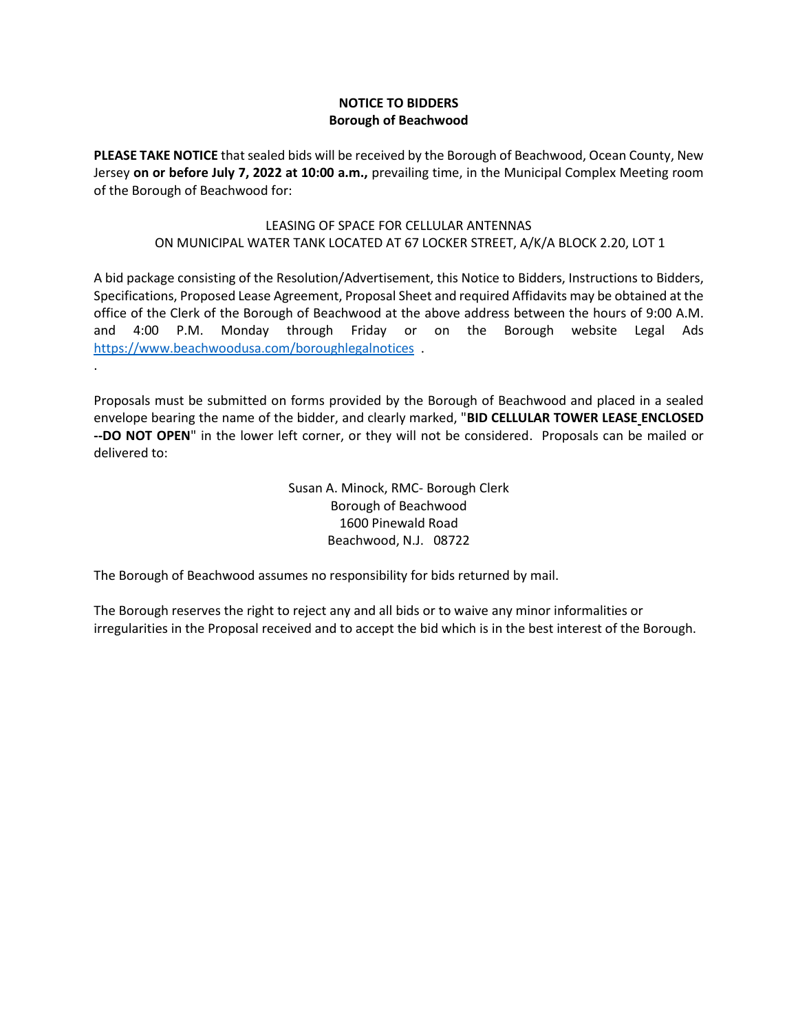## **NOTICE TO BIDDERS Borough of Beachwood**

**PLEASE TAKE NOTICE** that sealed bids will be received by the Borough of Beachwood, Ocean County, New Jersey **on or before July 7, 2022 at 10:00 a.m.,** prevailing time, in the Municipal Complex Meeting room of the Borough of Beachwood for:

## LEASING OF SPACE FOR CELLULAR ANTENNAS ON MUNICIPAL WATER TANK LOCATED AT 67 LOCKER STREET, A/K/A BLOCK 2.20, LOT 1

A bid package consisting of the Resolution/Advertisement, this Notice to Bidders, Instructions to Bidders, Specifications, Proposed Lease Agreement, Proposal Sheet and required Affidavits may be obtained at the office of the Clerk of the Borough of Beachwood at the above address between the hours of 9:00 A.M. and 4:00 P.M. Monday through Friday or on the Borough website Legal Ads <https://www.beachwoodusa.com/boroughlegalnotices>.

Proposals must be submitted on forms provided by the Borough of Beachwood and placed in a sealed envelope bearing the name of the bidder, and clearly marked, "**BID CELLULAR TOWER LEASE ENCLOSED --DO NOT OPEN**" in the lower left corner, or they will not be considered. Proposals can be mailed or delivered to:

> Susan A. Minock, RMC- Borough Clerk Borough of Beachwood 1600 Pinewald Road Beachwood, N.J. 08722

The Borough of Beachwood assumes no responsibility for bids returned by mail.

.

The Borough reserves the right to reject any and all bids or to waive any minor informalities or irregularities in the Proposal received and to accept the bid which is in the best interest of the Borough.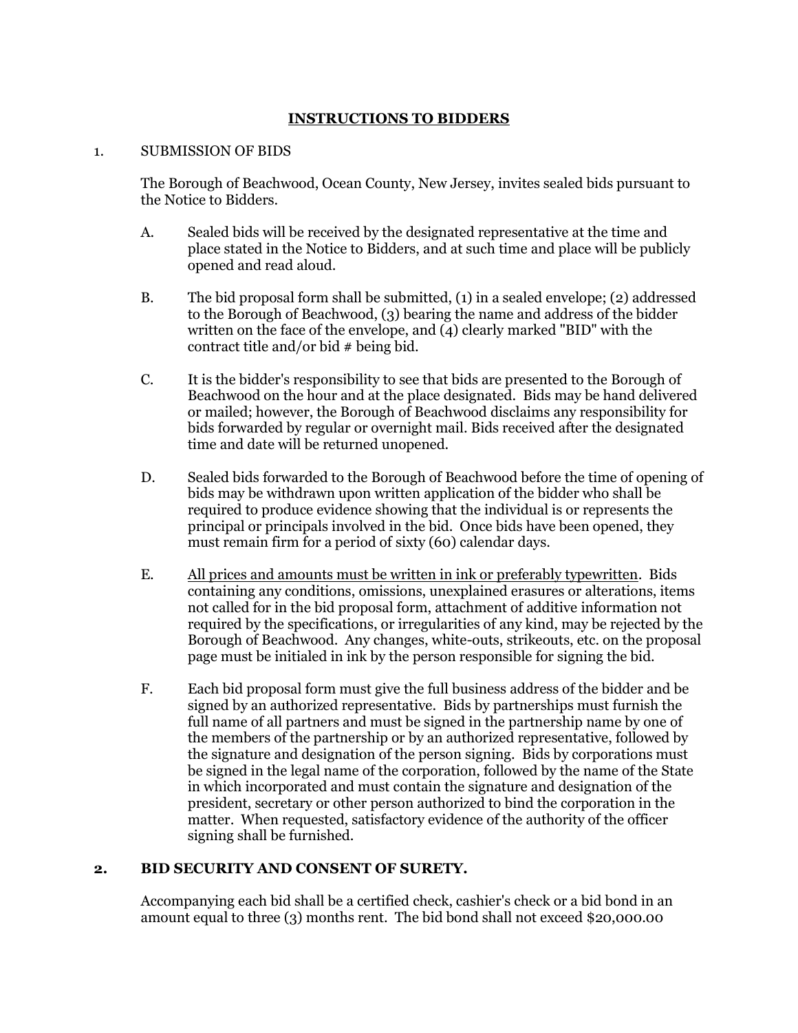# **INSTRUCTIONS TO BIDDERS**

## 1. SUBMISSION OF BIDS

The Borough of Beachwood, Ocean County, New Jersey, invites sealed bids pursuant to the Notice to Bidders.

- A. Sealed bids will be received by the designated representative at the time and place stated in the Notice to Bidders, and at such time and place will be publicly opened and read aloud.
- B. The bid proposal form shall be submitted, (1) in a sealed envelope; (2) addressed to the Borough of Beachwood, (3) bearing the name and address of the bidder written on the face of the envelope, and  $\overline{4}$  clearly marked "BID" with the contract title and/or bid  $#$  being bid.
- C. It is the bidder's responsibility to see that bids are presented to the Borough of Beachwood on the hour and at the place designated. Bids may be hand delivered or mailed; however, the Borough of Beachwood disclaims any responsibility for bids forwarded by regular or overnight mail. Bids received after the designated time and date will be returned unopened.
- D. Sealed bids forwarded to the Borough of Beachwood before the time of opening of bids may be withdrawn upon written application of the bidder who shall be required to produce evidence showing that the individual is or represents the principal or principals involved in the bid. Once bids have been opened, they must remain firm for a period of sixty (60) calendar days.
- E. All prices and amounts must be written in ink or preferably typewritten. Bids containing any conditions, omissions, unexplained erasures or alterations, items not called for in the bid proposal form, attachment of additive information not required by the specifications, or irregularities of any kind, may be rejected by the Borough of Beachwood. Any changes, white-outs, strikeouts, etc. on the proposal page must be initialed in ink by the person responsible for signing the bid.
- F. Each bid proposal form must give the full business address of the bidder and be signed by an authorized representative. Bids by partnerships must furnish the full name of all partners and must be signed in the partnership name by one of the members of the partnership or by an authorized representative, followed by the signature and designation of the person signing. Bids by corporations must be signed in the legal name of the corporation, followed by the name of the State in which incorporated and must contain the signature and designation of the president, secretary or other person authorized to bind the corporation in the matter. When requested, satisfactory evidence of the authority of the officer signing shall be furnished.

# **2. BID SECURITY AND CONSENT OF SURETY.**

Accompanying each bid shall be a certified check, cashier's check or a bid bond in an amount equal to three (3) months rent. The bid bond shall not exceed \$20,000.00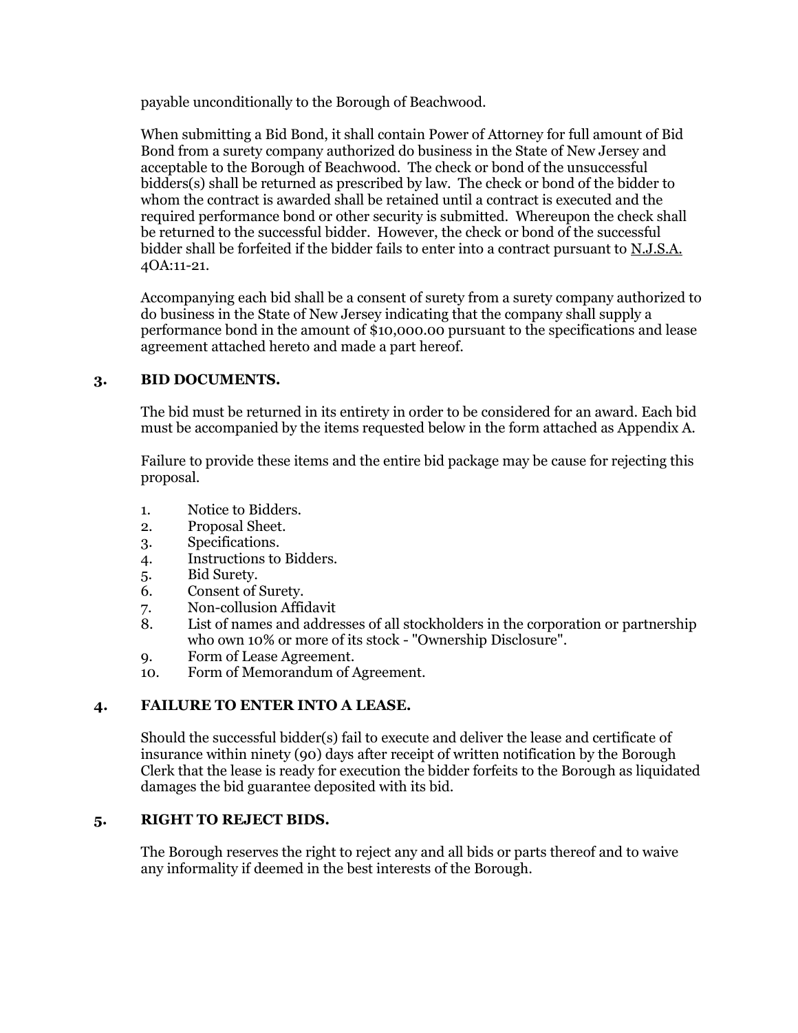payable unconditionally to the Borough of Beachwood.

When submitting a Bid Bond, it shall contain Power of Attorney for full amount of Bid Bond from a surety company authorized do business in the State of New Jersey and acceptable to the Borough of Beachwood. The check or bond of the unsuccessful bidders(s) shall be returned as prescribed by law. The check or bond of the bidder to whom the contract is awarded shall be retained until a contract is executed and the required performance bond or other security is submitted. Whereupon the check shall be returned to the successful bidder. However, the check or bond of the successful bidder shall be forfeited if the bidder fails to enter into a contract pursuant to N.J.S.A. 4OA:11-21.

Accompanying each bid shall be a consent of surety from a surety company authorized to do business in the State of New Jersey indicating that the company shall supply a performance bond in the amount of \$10,000.00 pursuant to the specifications and lease agreement attached hereto and made a part hereof.

# **3. BID DOCUMENTS.**

The bid must be returned in its entirety in order to be considered for an award. Each bid must be accompanied by the items requested below in the form attached as Appendix A.

Failure to provide these items and the entire bid package may be cause for rejecting this proposal.

- 1. Notice to Bidders.
- 2. Proposal Sheet.
- 3. Specifications.
- 4. Instructions to Bidders.
- 5. Bid Surety.
- 6. Consent of Surety.
- 7. Non-collusion Affidavit
- 8. List of names and addresses of all stockholders in the corporation or partnership who own 10% or more of its stock - "Ownership Disclosure".
- 9. Form of Lease Agreement.
- 10. Form of Memorandum of Agreement.

# **4. FAILURE TO ENTER INTO A LEASE.**

Should the successful bidder(s) fail to execute and deliver the lease and certificate of insurance within ninety (90) days after receipt of written notification by the Borough Clerk that the lease is ready for execution the bidder forfeits to the Borough as liquidated damages the bid guarantee deposited with its bid.

# **5. RIGHT TO REJECT BIDS.**

The Borough reserves the right to reject any and all bids or parts thereof and to waive any informality if deemed in the best interests of the Borough.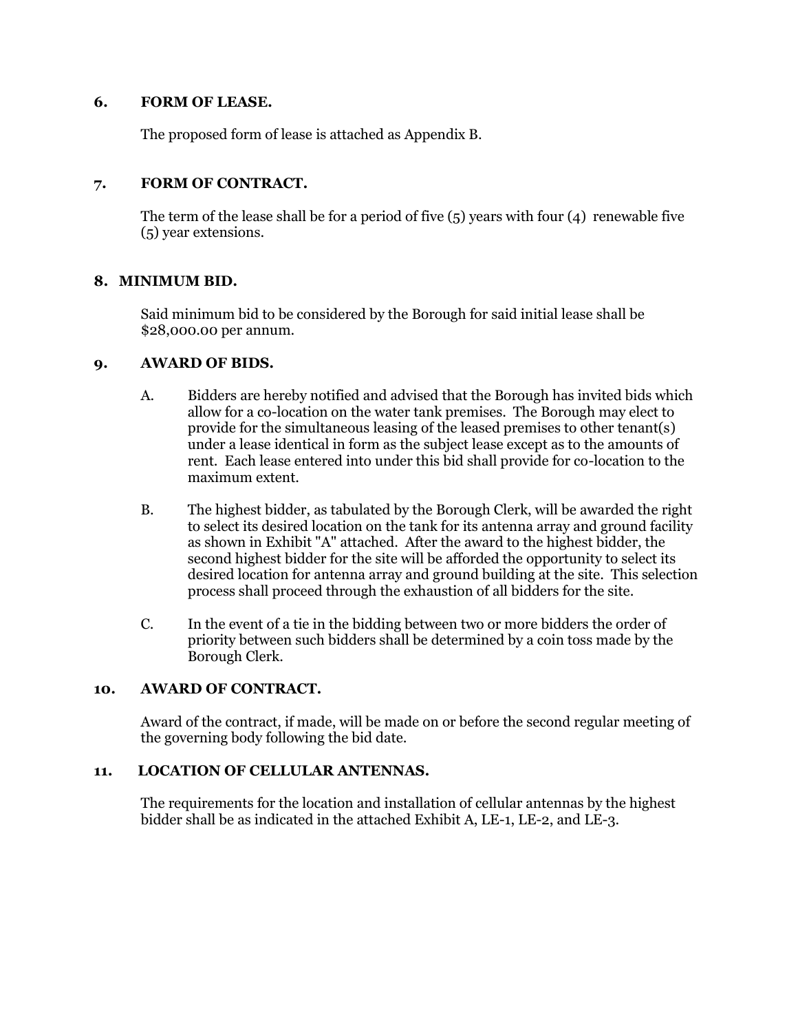## **6. FORM OF LEASE.**

The proposed form of lease is attached as Appendix B.

# **7. FORM OF CONTRACT.**

The term of the lease shall be for a period of five  $(5)$  years with four  $(4)$  renewable five (5) year extensions.

# **8. MINIMUM BID.**

Said minimum bid to be considered by the Borough for said initial lease shall be \$28,000.00 per annum.

## **9. AWARD OF BIDS.**

- A. Bidders are hereby notified and advised that the Borough has invited bids which allow for a co-location on the water tank premises. The Borough may elect to provide for the simultaneous leasing of the leased premises to other tenant(s) under a lease identical in form as the subject lease except as to the amounts of rent. Each lease entered into under this bid shall provide for co-location to the maximum extent.
- B. The highest bidder, as tabulated by the Borough Clerk, will be awarded the right to select its desired location on the tank for its antenna array and ground facility as shown in Exhibit "A" attached. After the award to the highest bidder, the second highest bidder for the site will be afforded the opportunity to select its desired location for antenna array and ground building at the site. This selection process shall proceed through the exhaustion of all bidders for the site.
- C. In the event of a tie in the bidding between two or more bidders the order of priority between such bidders shall be determined by a coin toss made by the Borough Clerk.

# **10. AWARD OF CONTRACT.**

Award of the contract, if made, will be made on or before the second regular meeting of the governing body following the bid date.

# **11. LOCATION OF CELLULAR ANTENNAS.**

The requirements for the location and installation of cellular antennas by the highest bidder shall be as indicated in the attached Exhibit A, LE-1, LE-2, and LE-3.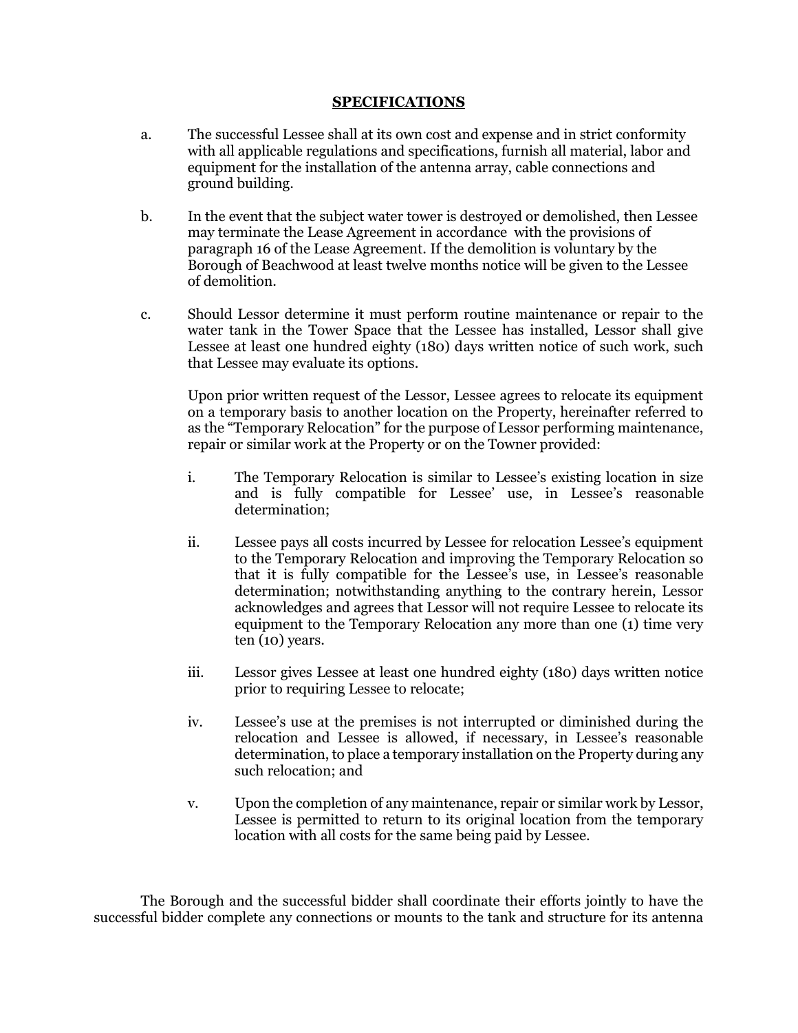#### **SPECIFICATIONS**

- a. The successful Lessee shall at its own cost and expense and in strict conformity with all applicable regulations and specifications, furnish all material, labor and equipment for the installation of the antenna array, cable connections and ground building.
- b. In the event that the subject water tower is destroyed or demolished, then Lessee may terminate the Lease Agreement in accordance with the provisions of paragraph 16 of the Lease Agreement. If the demolition is voluntary by the Borough of Beachwood at least twelve months notice will be given to the Lessee of demolition.
- c. Should Lessor determine it must perform routine maintenance or repair to the water tank in the Tower Space that the Lessee has installed, Lessor shall give Lessee at least one hundred eighty (180) days written notice of such work, such that Lessee may evaluate its options.

Upon prior written request of the Lessor, Lessee agrees to relocate its equipment on a temporary basis to another location on the Property, hereinafter referred to as the "Temporary Relocation" for the purpose of Lessor performing maintenance, repair or similar work at the Property or on the Towner provided:

- i. The Temporary Relocation is similar to Lessee's existing location in size and is fully compatible for Lessee' use, in Lessee's reasonable determination;
- ii. Lessee pays all costs incurred by Lessee for relocation Lessee's equipment to the Temporary Relocation and improving the Temporary Relocation so that it is fully compatible for the Lessee's use, in Lessee's reasonable determination; notwithstanding anything to the contrary herein, Lessor acknowledges and agrees that Lessor will not require Lessee to relocate its equipment to the Temporary Relocation any more than one (1) time very ten (10) years.
- iii. Lessor gives Lessee at least one hundred eighty (180) days written notice prior to requiring Lessee to relocate;
- iv. Lessee's use at the premises is not interrupted or diminished during the relocation and Lessee is allowed, if necessary, in Lessee's reasonable determination, to place a temporary installation on the Property during any such relocation; and
- v. Upon the completion of any maintenance, repair or similar work by Lessor, Lessee is permitted to return to its original location from the temporary location with all costs for the same being paid by Lessee.

The Borough and the successful bidder shall coordinate their efforts jointly to have the successful bidder complete any connections or mounts to the tank and structure for its antenna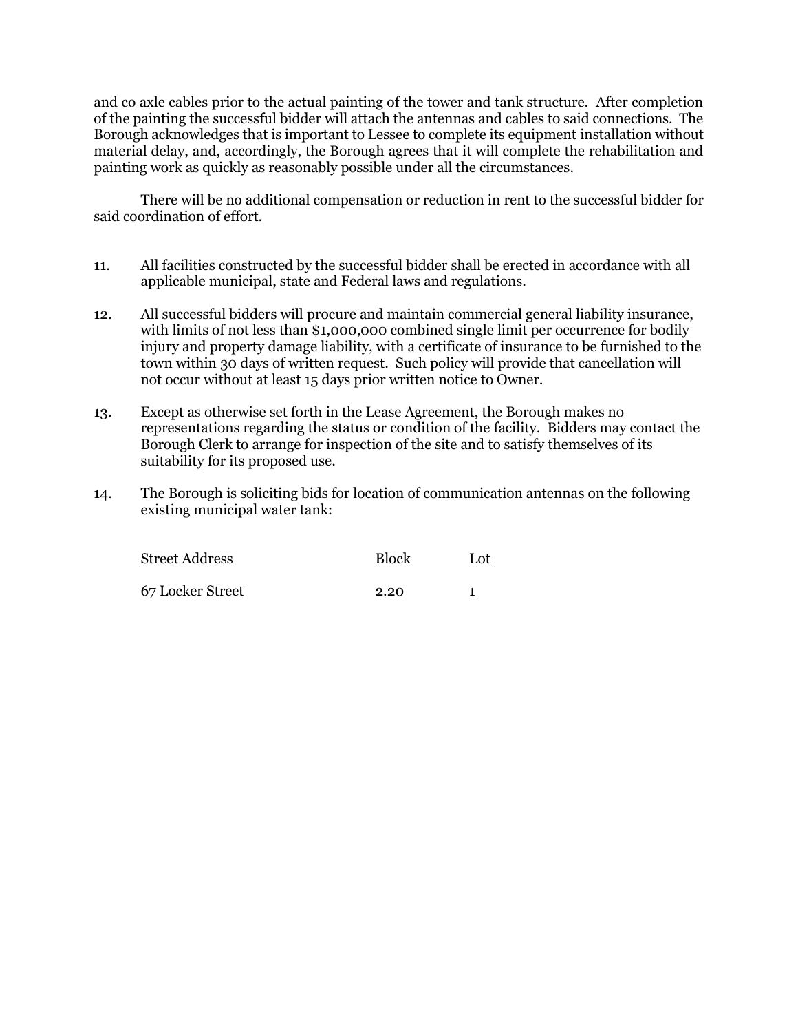and co axle cables prior to the actual painting of the tower and tank structure. After completion of the painting the successful bidder will attach the antennas and cables to said connections. The Borough acknowledges that is important to Lessee to complete its equipment installation without material delay, and, accordingly, the Borough agrees that it will complete the rehabilitation and painting work as quickly as reasonably possible under all the circumstances.

There will be no additional compensation or reduction in rent to the successful bidder for said coordination of effort.

- 11. All facilities constructed by the successful bidder shall be erected in accordance with all applicable municipal, state and Federal laws and regulations.
- 12. All successful bidders will procure and maintain commercial general liability insurance, with limits of not less than \$1,000,000 combined single limit per occurrence for bodily injury and property damage liability, with a certificate of insurance to be furnished to the town within 30 days of written request. Such policy will provide that cancellation will not occur without at least 15 days prior written notice to Owner.
- 13. Except as otherwise set forth in the Lease Agreement, the Borough makes no representations regarding the status or condition of the facility. Bidders may contact the Borough Clerk to arrange for inspection of the site and to satisfy themselves of its suitability for its proposed use.
- 14. The Borough is soliciting bids for location of communication antennas on the following existing municipal water tank:

| Street Address   | <b>Block</b> | Lot |
|------------------|--------------|-----|
| 67 Locker Street | 2.20         |     |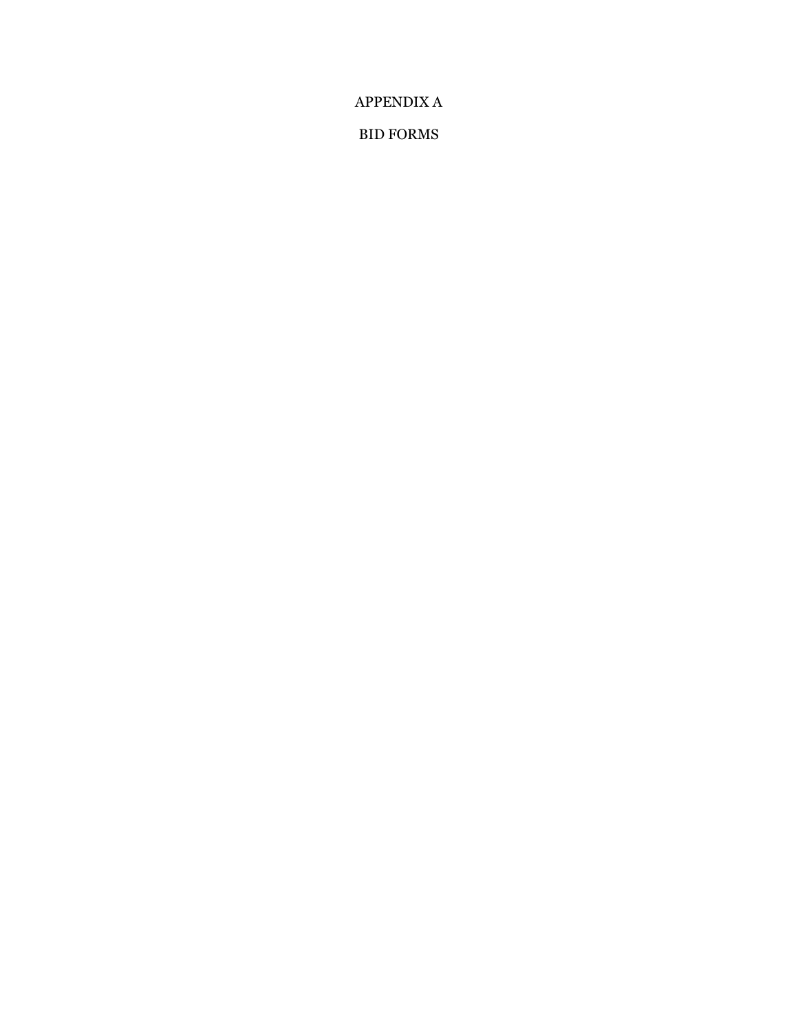APPENDIX A

BID FORMS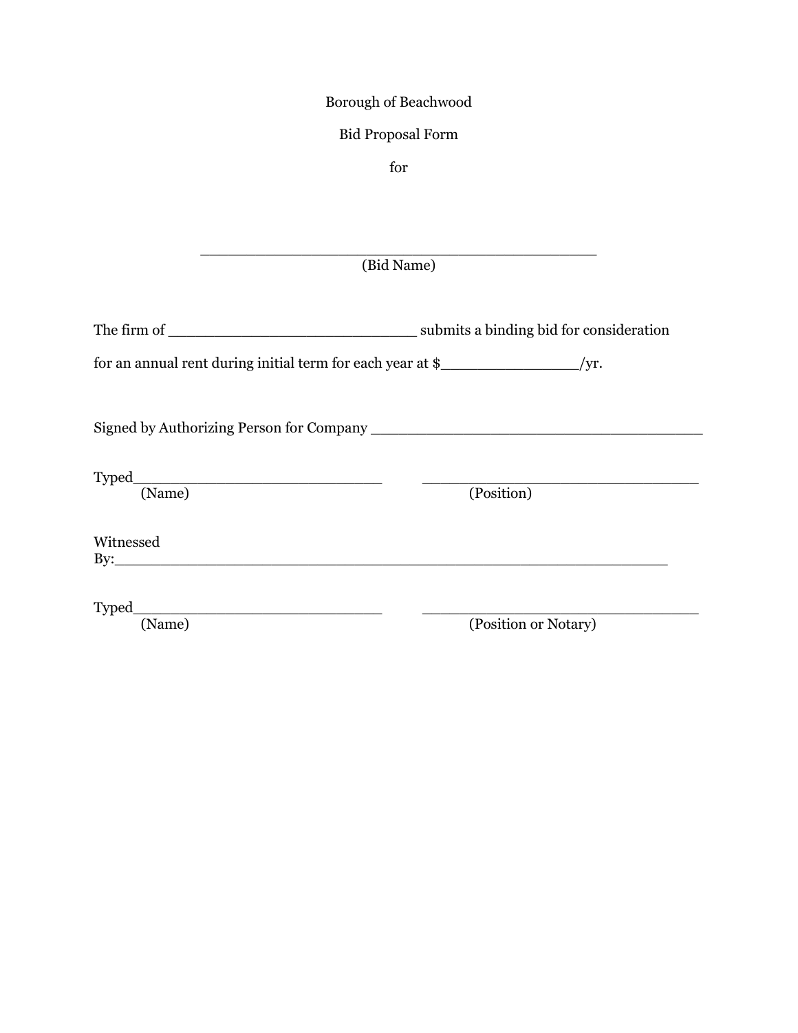# Borough of Beachwood

# Bid Proposal Form

for

\_\_\_\_\_\_\_\_\_\_\_\_\_\_\_\_\_\_\_\_\_\_\_\_\_\_\_\_\_\_\_\_\_\_\_\_\_\_\_\_\_\_\_ (Bid Name)

| The firm of | submits a binding bid for consideration |
|-------------|-----------------------------------------|
|-------------|-----------------------------------------|

| for an annual rent during initial term for each year at \$_ |  |
|-------------------------------------------------------------|--|
|-------------------------------------------------------------|--|

Signed by Authorizing Person for Company \_\_\_\_\_\_\_\_\_\_\_\_\_\_\_\_\_\_\_\_\_\_\_\_\_\_\_\_\_\_\_\_\_\_\_\_

| -- |  |
|----|--|
|    |  |

(Name) (Position)

Witnessed  $\mathrm{By:}\qquad\qquad$ 

Typed\_\_\_\_\_\_\_\_\_\_\_\_\_\_\_\_\_\_\_\_\_\_\_\_\_\_\_ \_\_\_\_\_\_\_\_\_\_\_\_\_\_\_\_\_\_\_\_\_\_\_\_\_\_\_\_\_\_

(Position or Notary)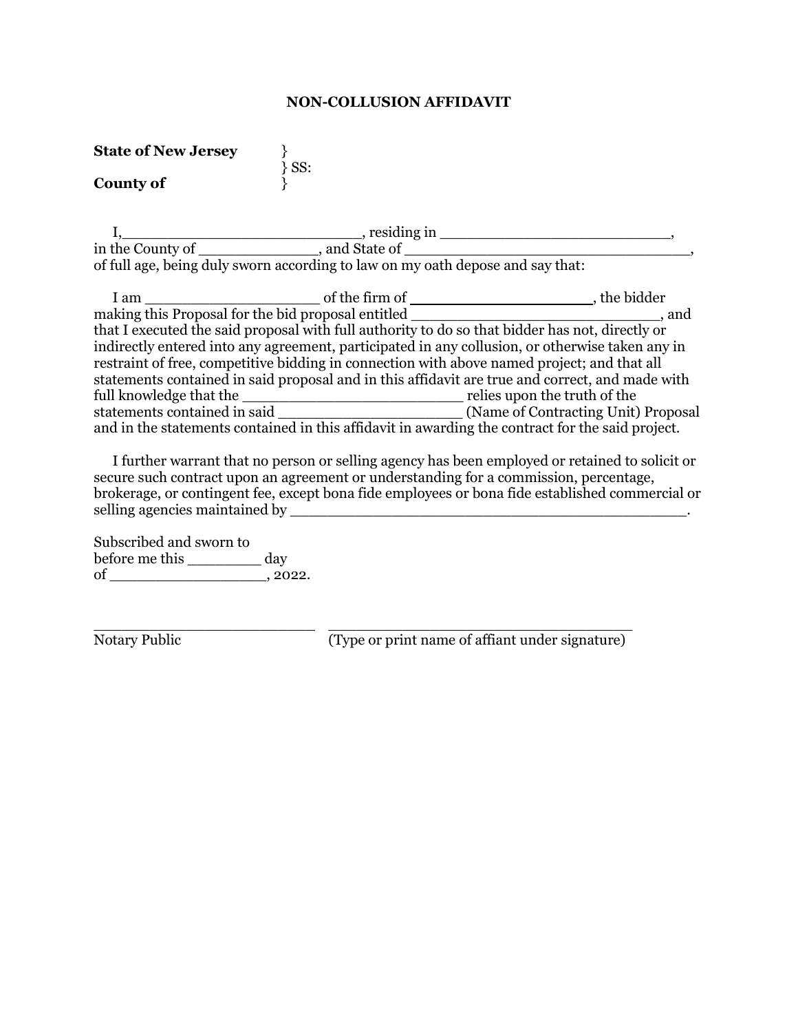## **NON-COLLUSION AFFIDAVIT**

| <b>State of New Jersey</b> |          |
|----------------------------|----------|
| <b>County of</b>           | $\}$ SS: |

|                  | , residing in                                                                  |  |
|------------------|--------------------------------------------------------------------------------|--|
| in the County of | and State of                                                                   |  |
|                  | of full age, being duly sworn according to law on my oath depose and say that: |  |

| 1 am                         | of the firm of                                                                                   | the bidder                          |
|------------------------------|--------------------------------------------------------------------------------------------------|-------------------------------------|
|                              | making this Proposal for the bid proposal entitled                                               | and                                 |
|                              | that I executed the said proposal with full authority to do so that bidder has not, directly or  |                                     |
|                              | indirectly entered into any agreement, participated in any collusion, or otherwise taken any in  |                                     |
|                              | restraint of free, competitive bidding in connection with above named project; and that all      |                                     |
|                              | statements contained in said proposal and in this affidavit are true and correct, and made with  |                                     |
| full knowledge that the      |                                                                                                  | relies upon the truth of the        |
| statements contained in said |                                                                                                  | (Name of Contracting Unit) Proposal |
|                              | and in the statements contained in this affidavit in awarding the contract for the said project. |                                     |

I further warrant that no person or selling agency has been employed or retained to solicit or secure such contract upon an agreement or understanding for a commission, percentage, brokerage, or contingent fee, except bona fide employees or bona fide established commercial or selling agencies maintained by \_\_\_\_\_\_\_\_\_\_\_\_\_\_\_\_\_\_\_\_\_\_\_\_\_\_\_\_\_\_\_\_\_\_\_\_\_\_\_\_\_\_\_.

Subscribed and sworn to before me this \_\_\_\_\_\_\_\_ day  $of$  \_\_\_\_\_\_\_\_\_\_\_\_\_\_\_\_\_\_\_\_\_\_, 2022.

\_\_\_\_\_\_\_\_\_\_\_\_\_\_\_\_\_\_\_\_\_\_\_\_ \_\_\_\_\_\_\_\_\_\_\_\_\_\_\_\_\_\_\_\_\_\_\_\_\_\_\_\_\_\_\_\_\_ Notary Public (Type or print name of affiant under signature)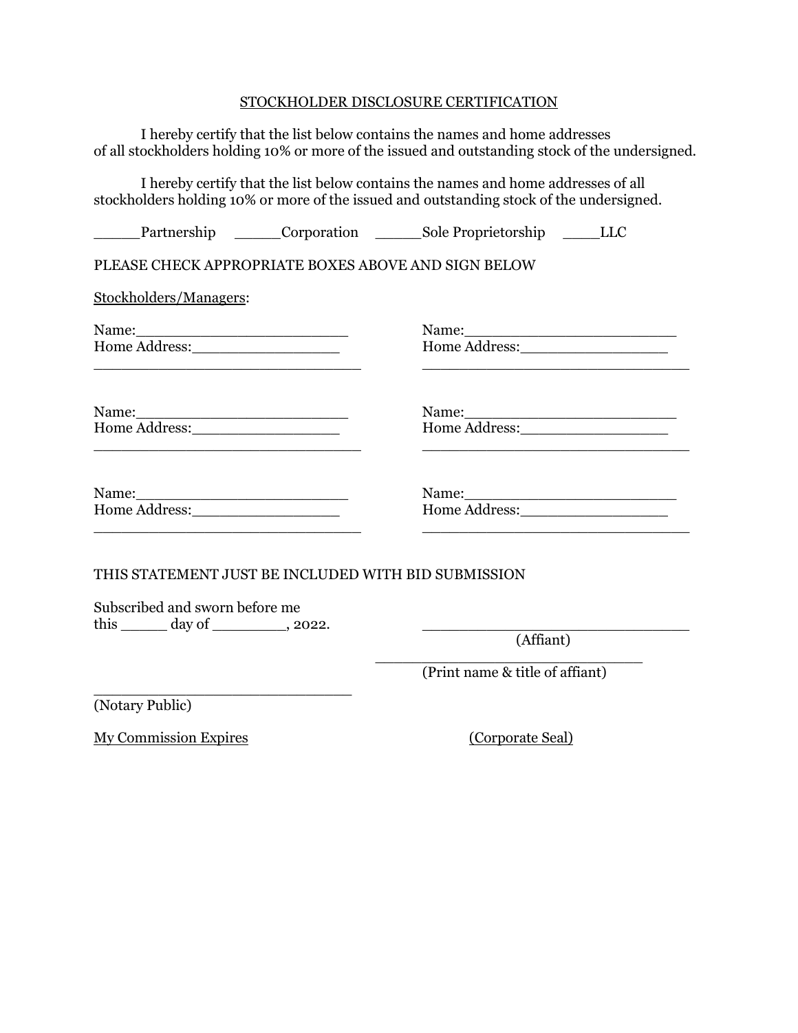# STOCKHOLDER DISCLOSURE CERTIFICATION

| I hereby certify that the list below contains the names and home addresses<br>of all stockholders holding 10% or more of the issued and outstanding stock of the undersigned. |
|-------------------------------------------------------------------------------------------------------------------------------------------------------------------------------|
| I hereby certify that the list below contains the names and home addresses of all<br>stockholders holding 10% or more of the issued and outstanding stock of the undersigned. |
| Partnership _______Corporation __________Sole Proprietorship _______LLC                                                                                                       |
| PLEASE CHECK APPROPRIATE BOXES ABOVE AND SIGN BELOW                                                                                                                           |
|                                                                                                                                                                               |
| Name:<br>Home Address:                                                                                                                                                        |
|                                                                                                                                                                               |
|                                                                                                                                                                               |
| THIS STATEMENT JUST BE INCLUDED WITH BID SUBMISSION                                                                                                                           |
| (Affiant)<br>$(D_{\text{rint}}$ name $\ell_{\tau}$ title of affiant)                                                                                                          |
|                                                                                                                                                                               |

(Print name & title of affiant)

(Notary Public)

My Commission Expires (Corporate Seal)

\_\_\_\_\_\_\_\_\_\_\_\_\_\_\_\_\_\_\_\_\_\_\_\_\_\_\_\_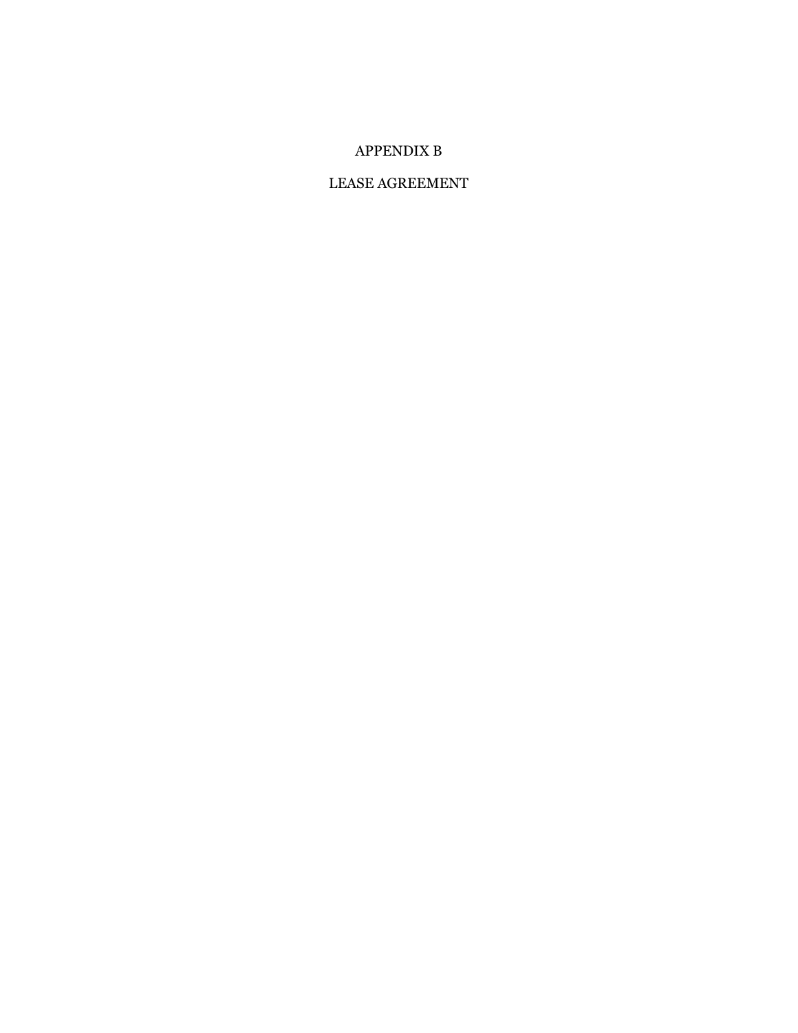# APPENDIX B

## LEASE AGREEMENT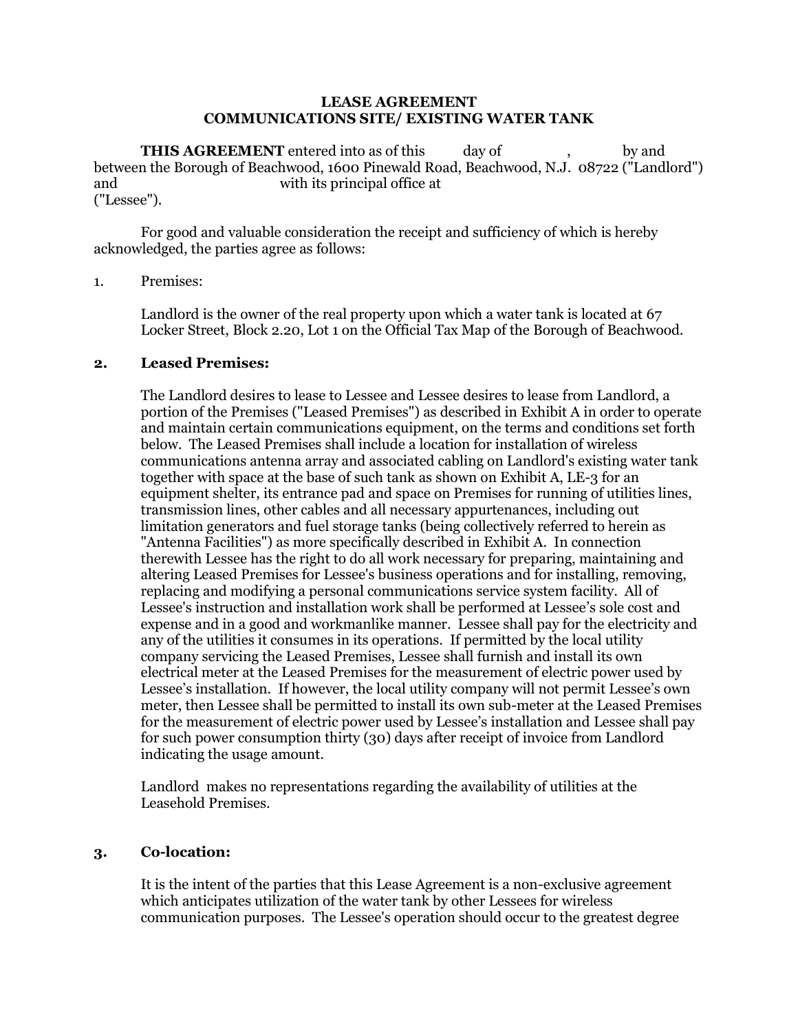## **LEASE AGREEMENT COMMUNICATIONS SITE/ EXISTING WATER TANK**

**THIS AGREEMENT** entered into as of this day of , by and between the Borough of Beachwood, 1600 Pinewald Road, Beachwood, N.J. 08722 ("Landlord") and with its principal office at ("Lessee").

For good and valuable consideration the receipt and sufficiency of which is hereby acknowledged, the parties agree as follows:

## 1. Premises:

Landlord is the owner of the real property upon which a water tank is located at 67 Locker Street, Block 2.20, Lot 1 on the Official Tax Map of the Borough of Beachwood.

## **2. Leased Premises:**

The Landlord desires to lease to Lessee and Lessee desires to lease from Landlord, a portion of the Premises ("Leased Premises") as described in Exhibit A in order to operate and maintain certain communications equipment, on the terms and conditions set forth below. The Leased Premises shall include a location for installation of wireless communications antenna array and associated cabling on Landlord's existing water tank together with space at the base of such tank as shown on Exhibit A, LE-3 for an equipment shelter, its entrance pad and space on Premises for running of utilities lines, transmission lines, other cables and all necessary appurtenances, including out limitation generators and fuel storage tanks (being collectively referred to herein as "Antenna Facilities") as more specifically described in Exhibit A. In connection therewith Lessee has the right to do all work necessary for preparing, maintaining and altering Leased Premises for Lessee's business operations and for installing, removing, replacing and modifying a personal communications service system facility. All of Lessee's instruction and installation work shall be performed at Lessee's sole cost and expense and in a good and workmanlike manner. Lessee shall pay for the electricity and any of the utilities it consumes in its operations. If permitted by the local utility company servicing the Leased Premises, Lessee shall furnish and install its own electrical meter at the Leased Premises for the measurement of electric power used by Lessee's installation. If however, the local utility company will not permit Lessee's own meter, then Lessee shall be permitted to install its own sub-meter at the Leased Premises for the measurement of electric power used by Lessee's installation and Lessee shall pay for such power consumption thirty (30) days after receipt of invoice from Landlord indicating the usage amount.

Landlord makes no representations regarding the availability of utilities at the Leasehold Premises.

## **3. Co-location:**

It is the intent of the parties that this Lease Agreement is a non-exclusive agreement which anticipates utilization of the water tank by other Lessees for wireless communication purposes. The Lessee's operation should occur to the greatest degree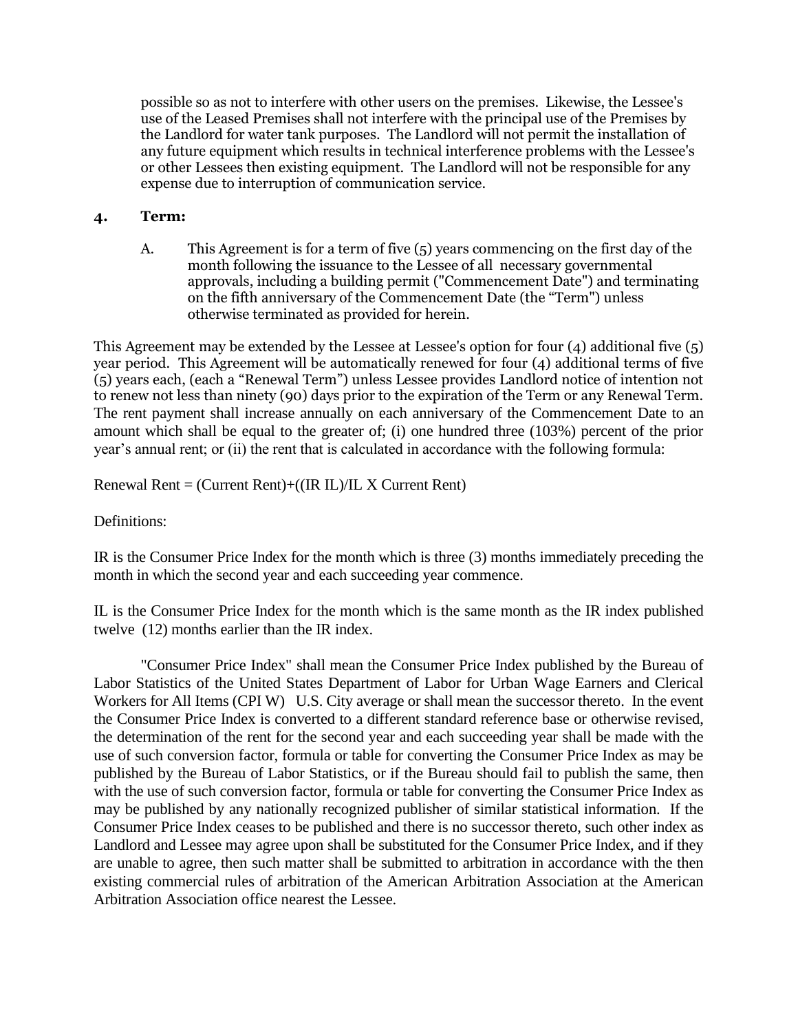possible so as not to interfere with other users on the premises. Likewise, the Lessee's use of the Leased Premises shall not interfere with the principal use of the Premises by the Landlord for water tank purposes. The Landlord will not permit the installation of any future equipment which results in technical interference problems with the Lessee's or other Lessees then existing equipment. The Landlord will not be responsible for any expense due to interruption of communication service.

# **4. Term:**

A. This Agreement is for a term of five (5) years commencing on the first day of the month following the issuance to the Lessee of all necessary governmental approvals, including a building permit ("Commencement Date") and terminating on the fifth anniversary of the Commencement Date (the "Term") unless otherwise terminated as provided for herein.

This Agreement may be extended by the Lessee at Lessee's option for four (4) additional five (5) year period. This Agreement will be automatically renewed for four (4) additional terms of five (5) years each, (each a "Renewal Term") unless Lessee provides Landlord notice of intention not to renew not less than ninety (90) days prior to the expiration of the Term or any Renewal Term. The rent payment shall increase annually on each anniversary of the Commencement Date to an amount which shall be equal to the greater of; (i) one hundred three (103%) percent of the prior year's annual rent; or (ii) the rent that is calculated in accordance with the following formula:

Renewal Rent  $=$  (Current Rent)+((IR IL)/IL X Current Rent)

Definitions:

IR is the Consumer Price Index for the month which is three (3) months immediately preceding the month in which the second year and each succeeding year commence.

IL is the Consumer Price Index for the month which is the same month as the IR index published twelve (12) months earlier than the IR index.

"Consumer Price Index" shall mean the Consumer Price Index published by the Bureau of Labor Statistics of the United States Department of Labor for Urban Wage Earners and Clerical Workers for All Items (CPI W) U.S. City average or shall mean the successor thereto. In the event the Consumer Price Index is converted to a different standard reference base or otherwise revised, the determination of the rent for the second year and each succeeding year shall be made with the use of such conversion factor, formula or table for converting the Consumer Price Index as may be published by the Bureau of Labor Statistics, or if the Bureau should fail to publish the same, then with the use of such conversion factor, formula or table for converting the Consumer Price Index as may be published by any nationally recognized publisher of similar statistical information. If the Consumer Price Index ceases to be published and there is no successor thereto, such other index as Landlord and Lessee may agree upon shall be substituted for the Consumer Price Index, and if they are unable to agree, then such matter shall be submitted to arbitration in accordance with the then existing commercial rules of arbitration of the American Arbitration Association at the American Arbitration Association office nearest the Lessee.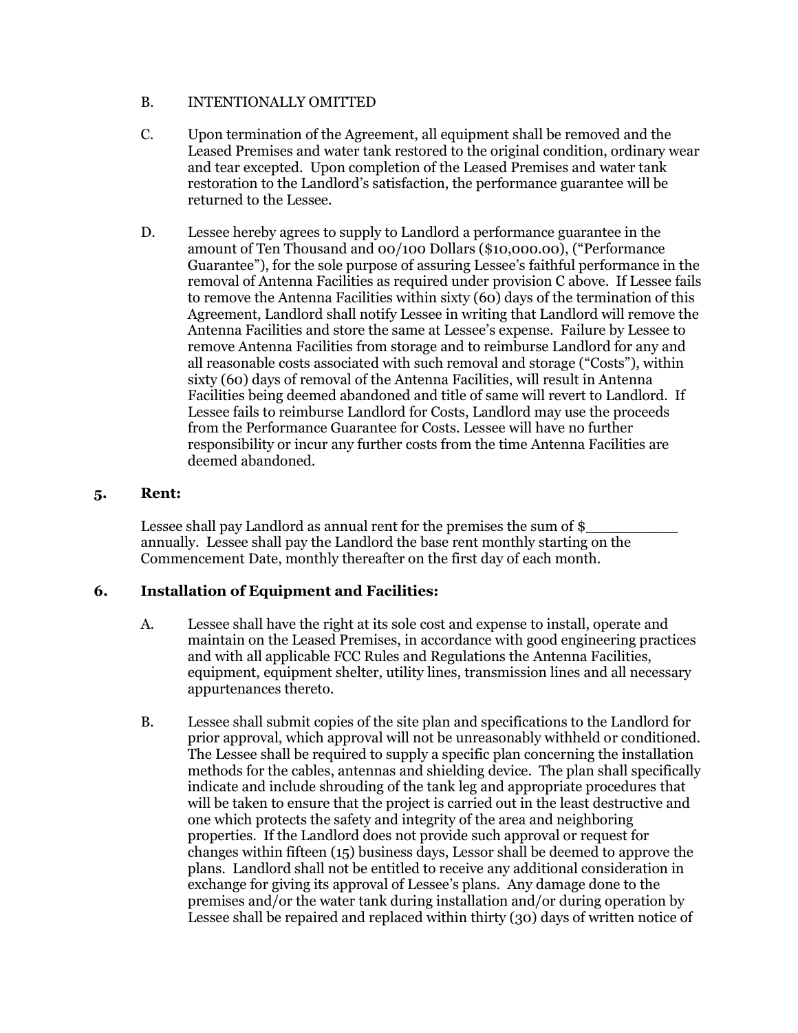## B. INTENTIONALLY OMITTED

- C. Upon termination of the Agreement, all equipment shall be removed and the Leased Premises and water tank restored to the original condition, ordinary wear and tear excepted. Upon completion of the Leased Premises and water tank restoration to the Landlord's satisfaction, the performance guarantee will be returned to the Lessee.
- D. Lessee hereby agrees to supply to Landlord a performance guarantee in the amount of Ten Thousand and 00/100 Dollars (\$10,000.00), ("Performance Guarantee"), for the sole purpose of assuring Lessee's faithful performance in the removal of Antenna Facilities as required under provision C above. If Lessee fails to remove the Antenna Facilities within sixty (60) days of the termination of this Agreement, Landlord shall notify Lessee in writing that Landlord will remove the Antenna Facilities and store the same at Lessee's expense. Failure by Lessee to remove Antenna Facilities from storage and to reimburse Landlord for any and all reasonable costs associated with such removal and storage ("Costs"), within sixty (60) days of removal of the Antenna Facilities, will result in Antenna Facilities being deemed abandoned and title of same will revert to Landlord. If Lessee fails to reimburse Landlord for Costs, Landlord may use the proceeds from the Performance Guarantee for Costs. Lessee will have no further responsibility or incur any further costs from the time Antenna Facilities are deemed abandoned.

# **5. Rent:**

Lessee shall pay Landlord as annual rent for the premises the sum of \$ annually. Lessee shall pay the Landlord the base rent monthly starting on the Commencement Date, monthly thereafter on the first day of each month.

# **6. Installation of Equipment and Facilities:**

- A. Lessee shall have the right at its sole cost and expense to install, operate and maintain on the Leased Premises, in accordance with good engineering practices and with all applicable FCC Rules and Regulations the Antenna Facilities, equipment, equipment shelter, utility lines, transmission lines and all necessary appurtenances thereto.
- B. Lessee shall submit copies of the site plan and specifications to the Landlord for prior approval, which approval will not be unreasonably withheld or conditioned. The Lessee shall be required to supply a specific plan concerning the installation methods for the cables, antennas and shielding device. The plan shall specifically indicate and include shrouding of the tank leg and appropriate procedures that will be taken to ensure that the project is carried out in the least destructive and one which protects the safety and integrity of the area and neighboring properties. If the Landlord does not provide such approval or request for changes within fifteen (15) business days, Lessor shall be deemed to approve the plans. Landlord shall not be entitled to receive any additional consideration in exchange for giving its approval of Lessee's plans. Any damage done to the premises and/or the water tank during installation and/or during operation by Lessee shall be repaired and replaced within thirty (30) days of written notice of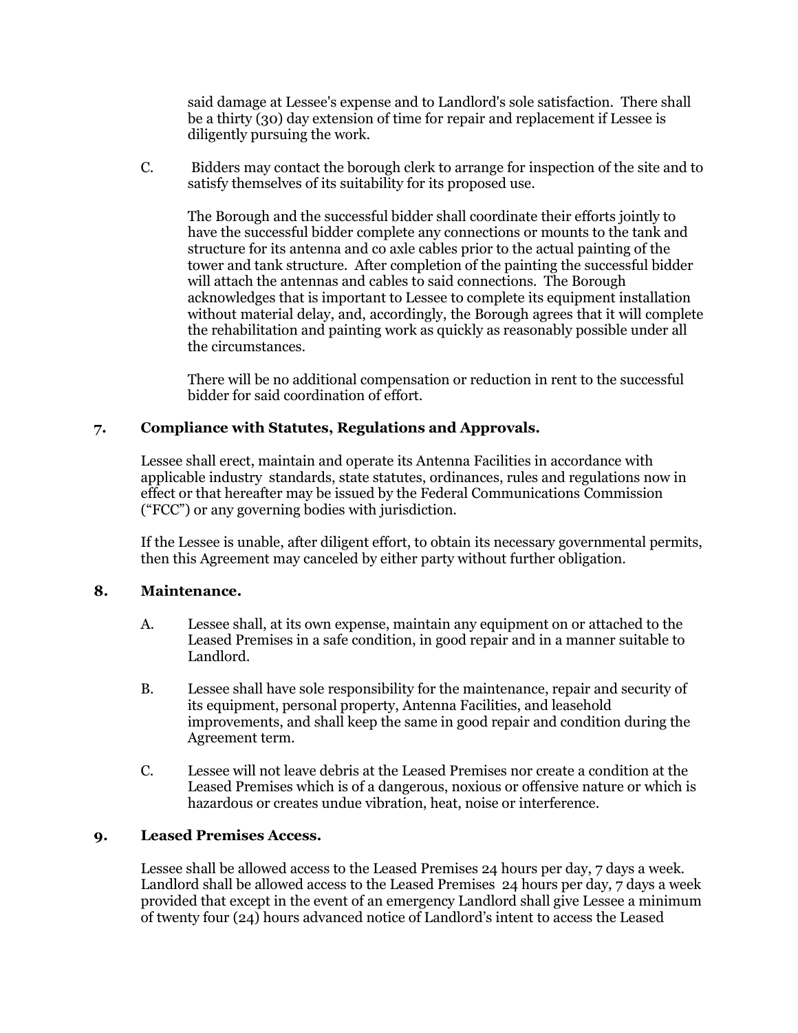said damage at Lessee's expense and to Landlord's sole satisfaction. There shall be a thirty (30) day extension of time for repair and replacement if Lessee is diligently pursuing the work.

C. Bidders may contact the borough clerk to arrange for inspection of the site and to satisfy themselves of its suitability for its proposed use.

The Borough and the successful bidder shall coordinate their efforts jointly to have the successful bidder complete any connections or mounts to the tank and structure for its antenna and co axle cables prior to the actual painting of the tower and tank structure. After completion of the painting the successful bidder will attach the antennas and cables to said connections. The Borough acknowledges that is important to Lessee to complete its equipment installation without material delay, and, accordingly, the Borough agrees that it will complete the rehabilitation and painting work as quickly as reasonably possible under all the circumstances.

There will be no additional compensation or reduction in rent to the successful bidder for said coordination of effort.

# **7. Compliance with Statutes, Regulations and Approvals.**

Lessee shall erect, maintain and operate its Antenna Facilities in accordance with applicable industry standards, state statutes, ordinances, rules and regulations now in effect or that hereafter may be issued by the Federal Communications Commission ("FCC") or any governing bodies with jurisdiction.

If the Lessee is unable, after diligent effort, to obtain its necessary governmental permits, then this Agreement may canceled by either party without further obligation.

## **8. Maintenance.**

- A. Lessee shall, at its own expense, maintain any equipment on or attached to the Leased Premises in a safe condition, in good repair and in a manner suitable to Landlord.
- B. Lessee shall have sole responsibility for the maintenance, repair and security of its equipment, personal property, Antenna Facilities, and leasehold improvements, and shall keep the same in good repair and condition during the Agreement term.
- C. Lessee will not leave debris at the Leased Premises nor create a condition at the Leased Premises which is of a dangerous, noxious or offensive nature or which is hazardous or creates undue vibration, heat, noise or interference.

## **9. Leased Premises Access.**

Lessee shall be allowed access to the Leased Premises 24 hours per day, 7 days a week. Landlord shall be allowed access to the Leased Premises 24 hours per day, 7 days a week provided that except in the event of an emergency Landlord shall give Lessee a minimum of twenty four (24) hours advanced notice of Landlord's intent to access the Leased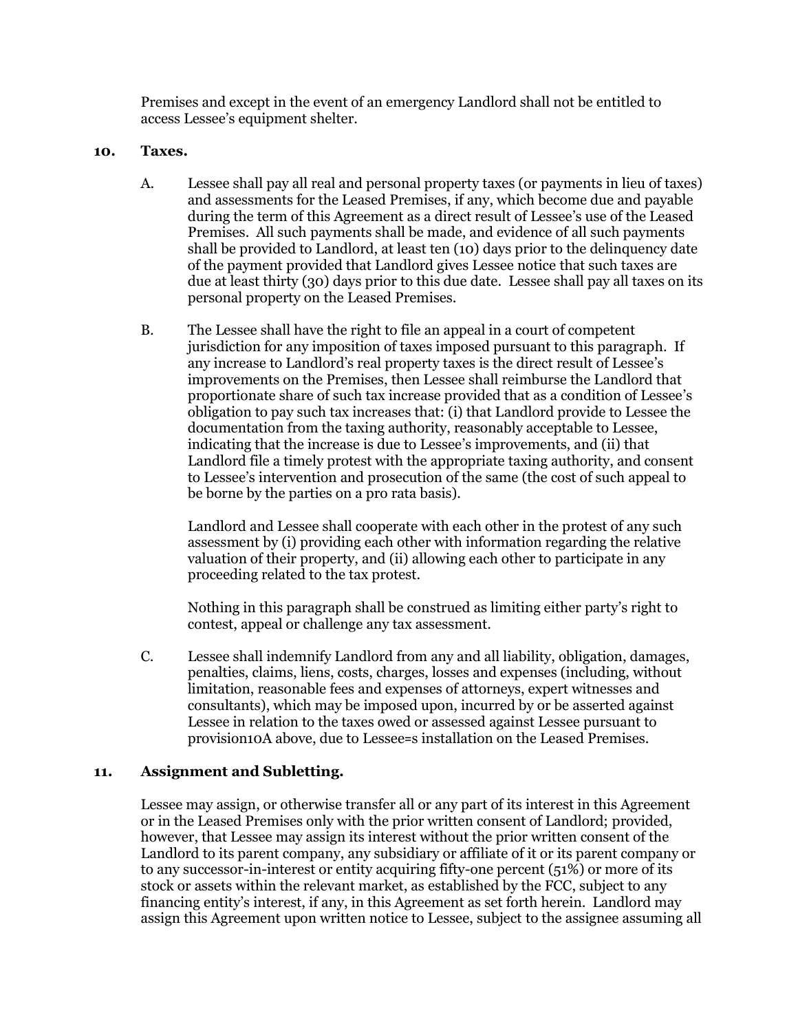Premises and except in the event of an emergency Landlord shall not be entitled to access Lessee's equipment shelter.

## **10. Taxes.**

- A. Lessee shall pay all real and personal property taxes (or payments in lieu of taxes) and assessments for the Leased Premises, if any, which become due and payable during the term of this Agreement as a direct result of Lessee's use of the Leased Premises. All such payments shall be made, and evidence of all such payments shall be provided to Landlord, at least ten (10) days prior to the delinquency date of the payment provided that Landlord gives Lessee notice that such taxes are due at least thirty (30) days prior to this due date. Lessee shall pay all taxes on its personal property on the Leased Premises.
- B. The Lessee shall have the right to file an appeal in a court of competent jurisdiction for any imposition of taxes imposed pursuant to this paragraph. If any increase to Landlord's real property taxes is the direct result of Lessee's improvements on the Premises, then Lessee shall reimburse the Landlord that proportionate share of such tax increase provided that as a condition of Lessee's obligation to pay such tax increases that: (i) that Landlord provide to Lessee the documentation from the taxing authority, reasonably acceptable to Lessee, indicating that the increase is due to Lessee's improvements, and (ii) that Landlord file a timely protest with the appropriate taxing authority, and consent to Lessee's intervention and prosecution of the same (the cost of such appeal to be borne by the parties on a pro rata basis).

Landlord and Lessee shall cooperate with each other in the protest of any such assessment by (i) providing each other with information regarding the relative valuation of their property, and (ii) allowing each other to participate in any proceeding related to the tax protest.

Nothing in this paragraph shall be construed as limiting either party's right to contest, appeal or challenge any tax assessment.

C. Lessee shall indemnify Landlord from any and all liability, obligation, damages, penalties, claims, liens, costs, charges, losses and expenses (including, without limitation, reasonable fees and expenses of attorneys, expert witnesses and consultants), which may be imposed upon, incurred by or be asserted against Lessee in relation to the taxes owed or assessed against Lessee pursuant to provision10A above, due to Lessee=s installation on the Leased Premises.

# **11. Assignment and Subletting.**

Lessee may assign, or otherwise transfer all or any part of its interest in this Agreement or in the Leased Premises only with the prior written consent of Landlord; provided, however, that Lessee may assign its interest without the prior written consent of the Landlord to its parent company, any subsidiary or affiliate of it or its parent company or to any successor-in-interest or entity acquiring fifty-one percent (51%) or more of its stock or assets within the relevant market, as established by the FCC, subject to any financing entity's interest, if any, in this Agreement as set forth herein. Landlord may assign this Agreement upon written notice to Lessee, subject to the assignee assuming all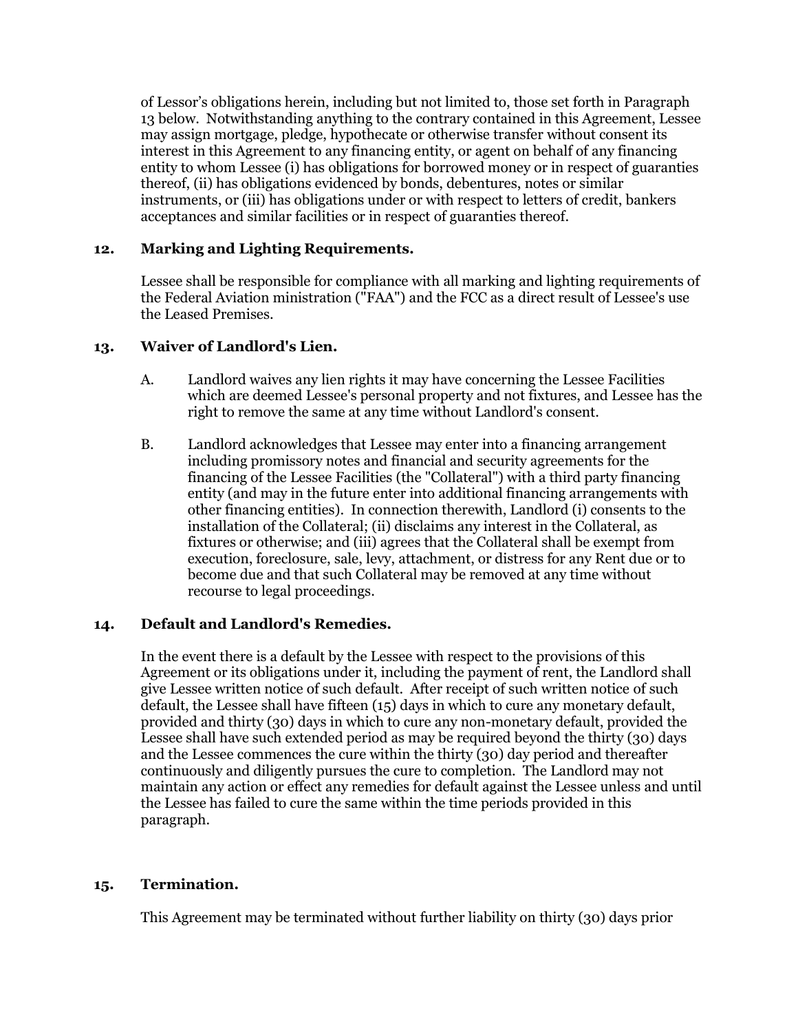of Lessor's obligations herein, including but not limited to, those set forth in Paragraph 13 below. Notwithstanding anything to the contrary contained in this Agreement, Lessee may assign mortgage, pledge, hypothecate or otherwise transfer without consent its interest in this Agreement to any financing entity, or agent on behalf of any financing entity to whom Lessee (i) has obligations for borrowed money or in respect of guaranties thereof, (ii) has obligations evidenced by bonds, debentures, notes or similar instruments, or (iii) has obligations under or with respect to letters of credit, bankers acceptances and similar facilities or in respect of guaranties thereof.

# **12. Marking and Lighting Requirements.**

Lessee shall be responsible for compliance with all marking and lighting requirements of the Federal Aviation ministration ("FAA") and the FCC as a direct result of Lessee's use the Leased Premises.

# **13. Waiver of Landlord's Lien.**

- A. Landlord waives any lien rights it may have concerning the Lessee Facilities which are deemed Lessee's personal property and not fixtures, and Lessee has the right to remove the same at any time without Landlord's consent.
- B. Landlord acknowledges that Lessee may enter into a financing arrangement including promissory notes and financial and security agreements for the financing of the Lessee Facilities (the "Collateral") with a third party financing entity (and may in the future enter into additional financing arrangements with other financing entities). In connection therewith, Landlord (i) consents to the installation of the Collateral; (ii) disclaims any interest in the Collateral, as fixtures or otherwise; and (iii) agrees that the Collateral shall be exempt from execution, foreclosure, sale, levy, attachment, or distress for any Rent due or to become due and that such Collateral may be removed at any time without recourse to legal proceedings.

# **14. Default and Landlord's Remedies.**

In the event there is a default by the Lessee with respect to the provisions of this Agreement or its obligations under it, including the payment of rent, the Landlord shall give Lessee written notice of such default. After receipt of such written notice of such default, the Lessee shall have fifteen (15) days in which to cure any monetary default, provided and thirty (30) days in which to cure any non-monetary default, provided the Lessee shall have such extended period as may be required beyond the thirty (30) days and the Lessee commences the cure within the thirty (30) day period and thereafter continuously and diligently pursues the cure to completion. The Landlord may not maintain any action or effect any remedies for default against the Lessee unless and until the Lessee has failed to cure the same within the time periods provided in this paragraph.

# **15. Termination.**

This Agreement may be terminated without further liability on thirty (30) days prior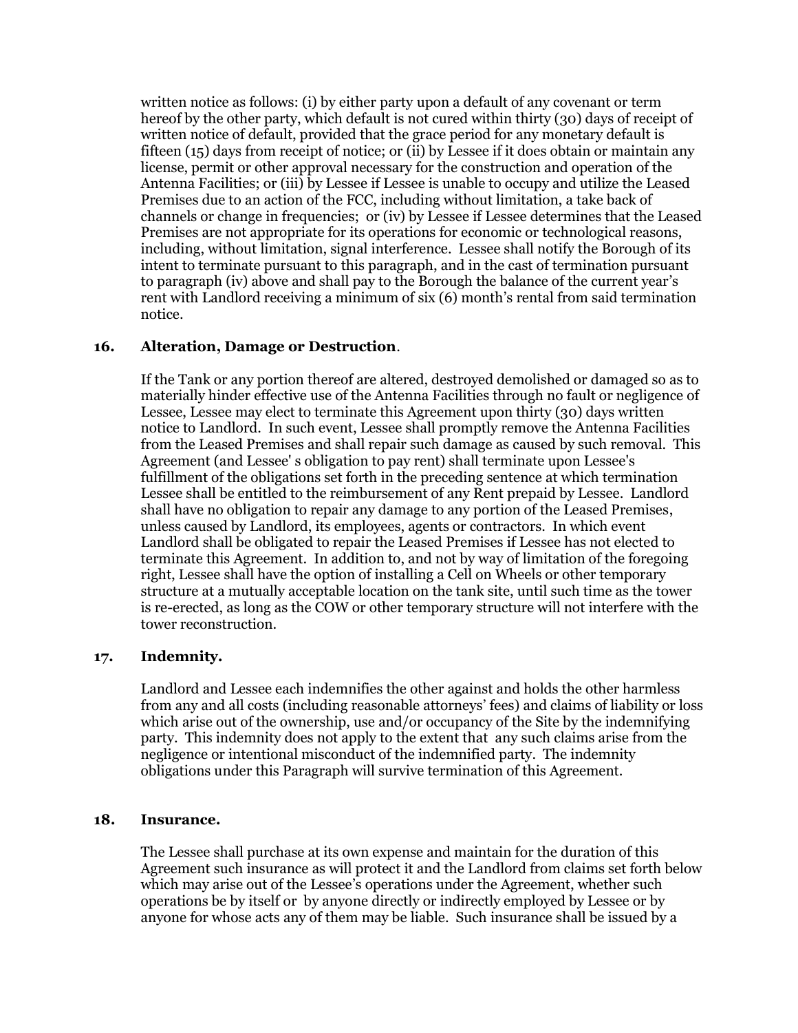written notice as follows: (i) by either party upon a default of any covenant or term hereof by the other party, which default is not cured within thirty (30) days of receipt of written notice of default, provided that the grace period for any monetary default is fifteen (15) days from receipt of notice; or (ii) by Lessee if it does obtain or maintain any license, permit or other approval necessary for the construction and operation of the Antenna Facilities; or (iii) by Lessee if Lessee is unable to occupy and utilize the Leased Premises due to an action of the FCC, including without limitation, a take back of channels or change in frequencies; or (iv) by Lessee if Lessee determines that the Leased Premises are not appropriate for its operations for economic or technological reasons, including, without limitation, signal interference. Lessee shall notify the Borough of its intent to terminate pursuant to this paragraph, and in the cast of termination pursuant to paragraph (iv) above and shall pay to the Borough the balance of the current year's rent with Landlord receiving a minimum of six (6) month's rental from said termination notice.

## **16. Alteration, Damage or Destruction**.

If the Tank or any portion thereof are altered, destroyed demolished or damaged so as to materially hinder effective use of the Antenna Facilities through no fault or negligence of Lessee, Lessee may elect to terminate this Agreement upon thirty (30) days written notice to Landlord. In such event, Lessee shall promptly remove the Antenna Facilities from the Leased Premises and shall repair such damage as caused by such removal. This Agreement (and Lessee' s obligation to pay rent) shall terminate upon Lessee's fulfillment of the obligations set forth in the preceding sentence at which termination Lessee shall be entitled to the reimbursement of any Rent prepaid by Lessee. Landlord shall have no obligation to repair any damage to any portion of the Leased Premises, unless caused by Landlord, its employees, agents or contractors. In which event Landlord shall be obligated to repair the Leased Premises if Lessee has not elected to terminate this Agreement. In addition to, and not by way of limitation of the foregoing right, Lessee shall have the option of installing a Cell on Wheels or other temporary structure at a mutually acceptable location on the tank site, until such time as the tower is re-erected, as long as the COW or other temporary structure will not interfere with the tower reconstruction.

# **17. Indemnity.**

Landlord and Lessee each indemnifies the other against and holds the other harmless from any and all costs (including reasonable attorneys' fees) and claims of liability or loss which arise out of the ownership, use and/or occupancy of the Site by the indemnifying party. This indemnity does not apply to the extent that any such claims arise from the negligence or intentional misconduct of the indemnified party. The indemnity obligations under this Paragraph will survive termination of this Agreement.

## **18. Insurance.**

The Lessee shall purchase at its own expense and maintain for the duration of this Agreement such insurance as will protect it and the Landlord from claims set forth below which may arise out of the Lessee's operations under the Agreement, whether such operations be by itself or by anyone directly or indirectly employed by Lessee or by anyone for whose acts any of them may be liable. Such insurance shall be issued by a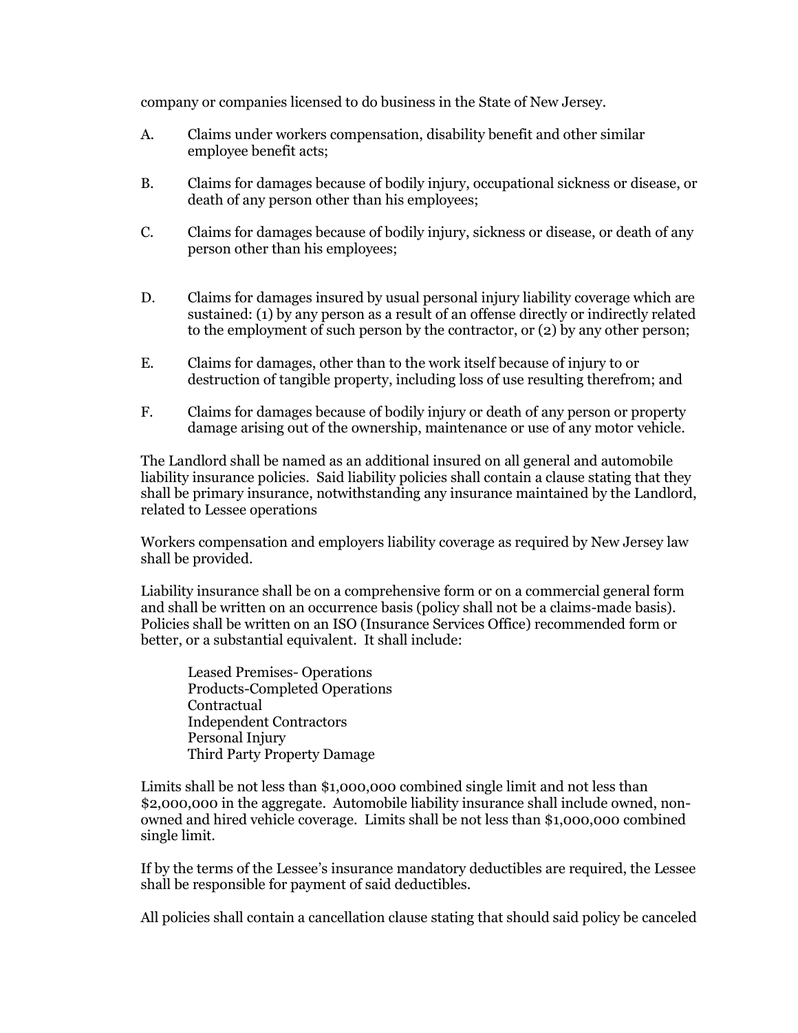company or companies licensed to do business in the State of New Jersey.

- A. Claims under workers compensation, disability benefit and other similar employee benefit acts;
- B. Claims for damages because of bodily injury, occupational sickness or disease, or death of any person other than his employees;
- C. Claims for damages because of bodily injury, sickness or disease, or death of any person other than his employees;
- D. Claims for damages insured by usual personal injury liability coverage which are sustained: (1) by any person as a result of an offense directly or indirectly related to the employment of such person by the contractor, or (2) by any other person;
- E. Claims for damages, other than to the work itself because of injury to or destruction of tangible property, including loss of use resulting therefrom; and
- F. Claims for damages because of bodily injury or death of any person or property damage arising out of the ownership, maintenance or use of any motor vehicle.

The Landlord shall be named as an additional insured on all general and automobile liability insurance policies. Said liability policies shall contain a clause stating that they shall be primary insurance, notwithstanding any insurance maintained by the Landlord, related to Lessee operations

Workers compensation and employers liability coverage as required by New Jersey law shall be provided.

Liability insurance shall be on a comprehensive form or on a commercial general form and shall be written on an occurrence basis (policy shall not be a claims-made basis). Policies shall be written on an ISO (Insurance Services Office) recommended form or better, or a substantial equivalent. It shall include:

Leased Premises- Operations Products-Completed Operations Contractual Independent Contractors Personal Injury Third Party Property Damage

Limits shall be not less than \$1,000,000 combined single limit and not less than \$2,000,000 in the aggregate. Automobile liability insurance shall include owned, nonowned and hired vehicle coverage. Limits shall be not less than \$1,000,000 combined single limit.

If by the terms of the Lessee's insurance mandatory deductibles are required, the Lessee shall be responsible for payment of said deductibles.

All policies shall contain a cancellation clause stating that should said policy be canceled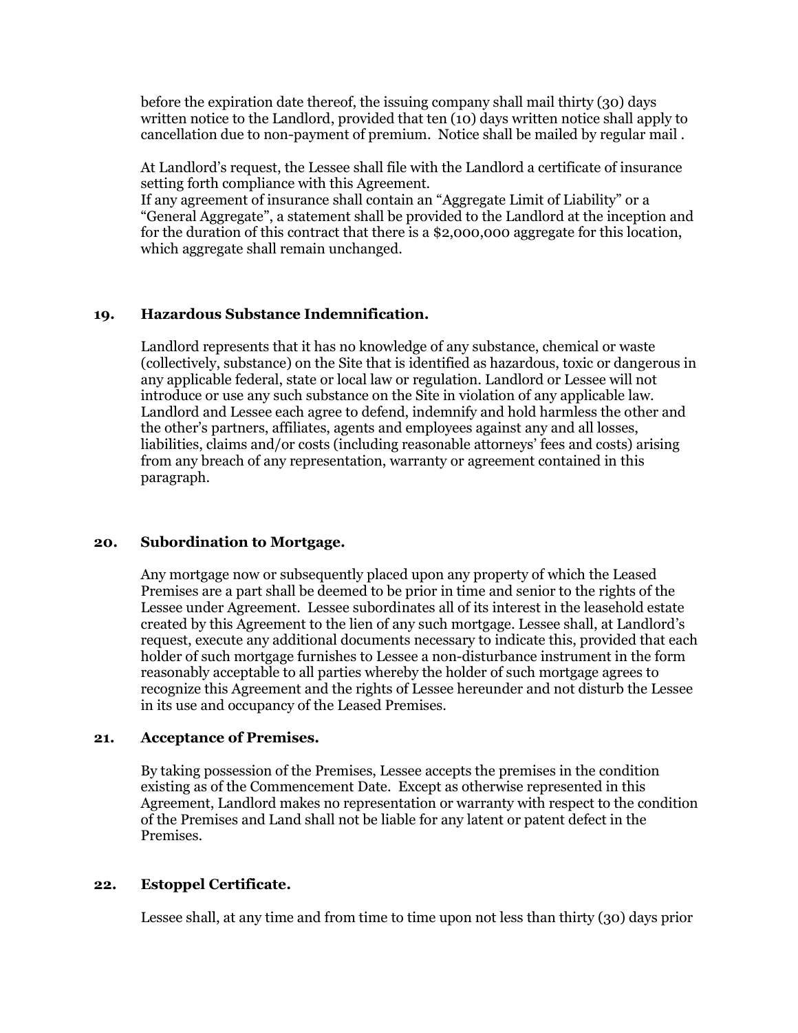before the expiration date thereof, the issuing company shall mail thirty (30) days written notice to the Landlord, provided that ten (10) days written notice shall apply to cancellation due to non-payment of premium. Notice shall be mailed by regular mail .

At Landlord's request, the Lessee shall file with the Landlord a certificate of insurance setting forth compliance with this Agreement.

If any agreement of insurance shall contain an "Aggregate Limit of Liability" or a "General Aggregate", a statement shall be provided to the Landlord at the inception and for the duration of this contract that there is a \$2,000,000 aggregate for this location, which aggregate shall remain unchanged.

# **19. Hazardous Substance Indemnification.**

Landlord represents that it has no knowledge of any substance, chemical or waste (collectively, substance) on the Site that is identified as hazardous, toxic or dangerous in any applicable federal, state or local law or regulation. Landlord or Lessee will not introduce or use any such substance on the Site in violation of any applicable law. Landlord and Lessee each agree to defend, indemnify and hold harmless the other and the other's partners, affiliates, agents and employees against any and all losses, liabilities, claims and/or costs (including reasonable attorneys' fees and costs) arising from any breach of any representation, warranty or agreement contained in this paragraph.

## **20. Subordination to Mortgage.**

Any mortgage now or subsequently placed upon any property of which the Leased Premises are a part shall be deemed to be prior in time and senior to the rights of the Lessee under Agreement. Lessee subordinates all of its interest in the leasehold estate created by this Agreement to the lien of any such mortgage. Lessee shall, at Landlord's request, execute any additional documents necessary to indicate this, provided that each holder of such mortgage furnishes to Lessee a non-disturbance instrument in the form reasonably acceptable to all parties whereby the holder of such mortgage agrees to recognize this Agreement and the rights of Lessee hereunder and not disturb the Lessee in its use and occupancy of the Leased Premises.

## **21. Acceptance of Premises.**

By taking possession of the Premises, Lessee accepts the premises in the condition existing as of the Commencement Date. Except as otherwise represented in this Agreement, Landlord makes no representation or warranty with respect to the condition of the Premises and Land shall not be liable for any latent or patent defect in the Premises.

## **22. Estoppel Certificate.**

Lessee shall, at any time and from time to time upon not less than thirty (30) days prior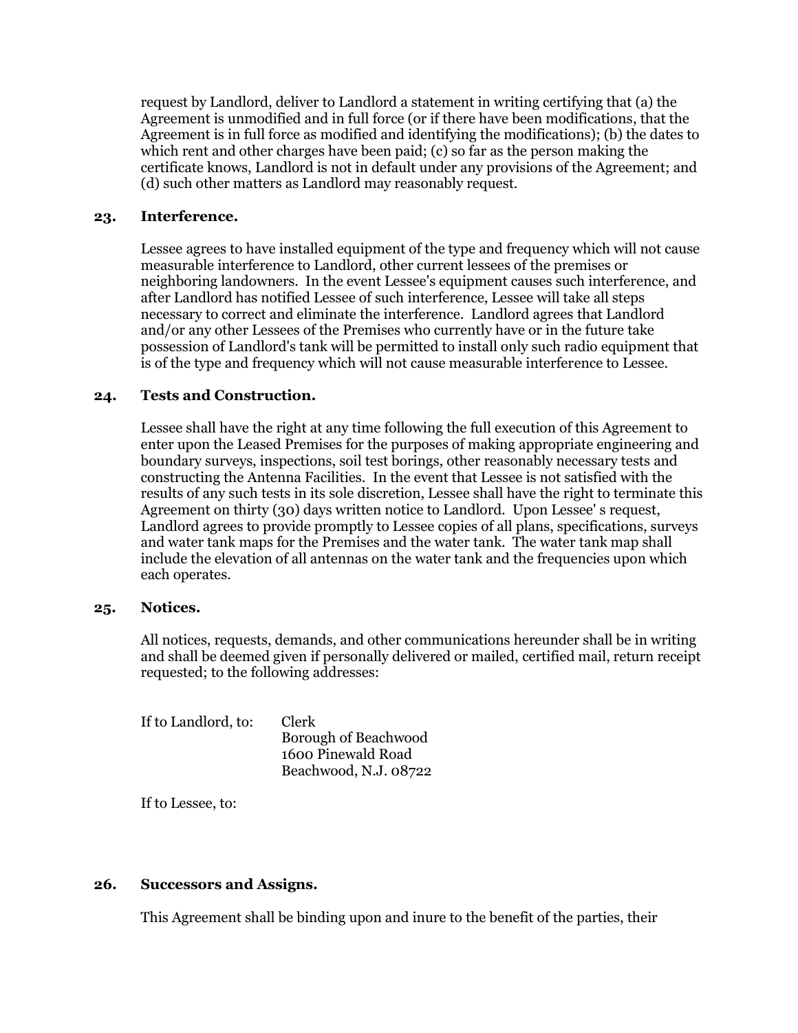request by Landlord, deliver to Landlord a statement in writing certifying that (a) the Agreement is unmodified and in full force (or if there have been modifications, that the Agreement is in full force as modified and identifying the modifications); (b) the dates to which rent and other charges have been paid; (c) so far as the person making the certificate knows, Landlord is not in default under any provisions of the Agreement; and (d) such other matters as Landlord may reasonably request.

## **23. Interference.**

Lessee agrees to have installed equipment of the type and frequency which will not cause measurable interference to Landlord, other current lessees of the premises or neighboring landowners. In the event Lessee's equipment causes such interference, and after Landlord has notified Lessee of such interference, Lessee will take all steps necessary to correct and eliminate the interference. Landlord agrees that Landlord and/or any other Lessees of the Premises who currently have or in the future take possession of Landlord's tank will be permitted to install only such radio equipment that is of the type and frequency which will not cause measurable interference to Lessee.

## **24. Tests and Construction.**

Lessee shall have the right at any time following the full execution of this Agreement to enter upon the Leased Premises for the purposes of making appropriate engineering and boundary surveys, inspections, soil test borings, other reasonably necessary tests and constructing the Antenna Facilities. In the event that Lessee is not satisfied with the results of any such tests in its sole discretion, Lessee shall have the right to terminate this Agreement on thirty (30) days written notice to Landlord. Upon Lessee' s request, Landlord agrees to provide promptly to Lessee copies of all plans, specifications, surveys and water tank maps for the Premises and the water tank. The water tank map shall include the elevation of all antennas on the water tank and the frequencies upon which each operates.

## **25. Notices.**

All notices, requests, demands, and other communications hereunder shall be in writing and shall be deemed given if personally delivered or mailed, certified mail, return receipt requested; to the following addresses:

| If to Landlord, to: | <b>Clerk</b><br>Borough of Beachwood<br>1600 Pinewald Road |
|---------------------|------------------------------------------------------------|
|                     | Beachwood, N.J. 08722                                      |

If to Lessee, to:

## **26. Successors and Assigns.**

This Agreement shall be binding upon and inure to the benefit of the parties, their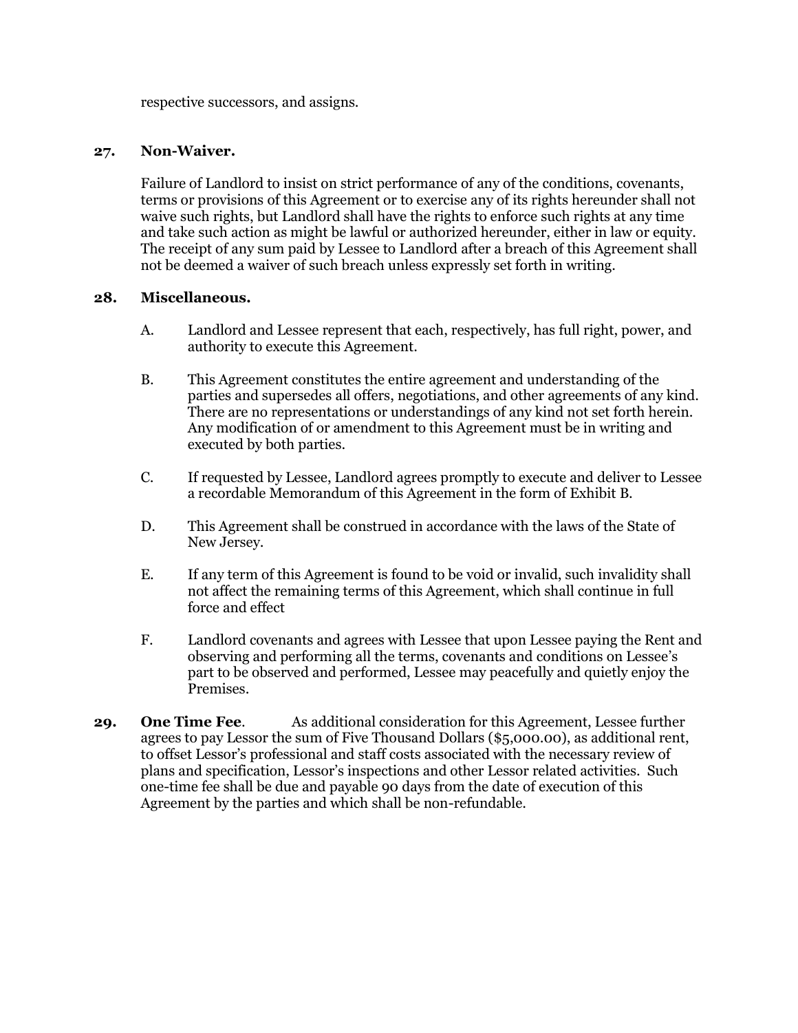respective successors, and assigns.

## **27. Non-Waiver.**

Failure of Landlord to insist on strict performance of any of the conditions, covenants, terms or provisions of this Agreement or to exercise any of its rights hereunder shall not waive such rights, but Landlord shall have the rights to enforce such rights at any time and take such action as might be lawful or authorized hereunder, either in law or equity. The receipt of any sum paid by Lessee to Landlord after a breach of this Agreement shall not be deemed a waiver of such breach unless expressly set forth in writing.

## **28. Miscellaneous.**

- A. Landlord and Lessee represent that each, respectively, has full right, power, and authority to execute this Agreement.
- B. This Agreement constitutes the entire agreement and understanding of the parties and supersedes all offers, negotiations, and other agreements of any kind. There are no representations or understandings of any kind not set forth herein. Any modification of or amendment to this Agreement must be in writing and executed by both parties.
- C. If requested by Lessee, Landlord agrees promptly to execute and deliver to Lessee a recordable Memorandum of this Agreement in the form of Exhibit B.
- D. This Agreement shall be construed in accordance with the laws of the State of New Jersey.
- E. If any term of this Agreement is found to be void or invalid, such invalidity shall not affect the remaining terms of this Agreement, which shall continue in full force and effect
- F. Landlord covenants and agrees with Lessee that upon Lessee paying the Rent and observing and performing all the terms, covenants and conditions on Lessee's part to be observed and performed, Lessee may peacefully and quietly enjoy the Premises.
- **29. One Time Fee**. As additional consideration for this Agreement, Lessee further agrees to pay Lessor the sum of Five Thousand Dollars (\$5,000.00), as additional rent, to offset Lessor's professional and staff costs associated with the necessary review of plans and specification, Lessor's inspections and other Lessor related activities. Such one-time fee shall be due and payable 90 days from the date of execution of this Agreement by the parties and which shall be non-refundable.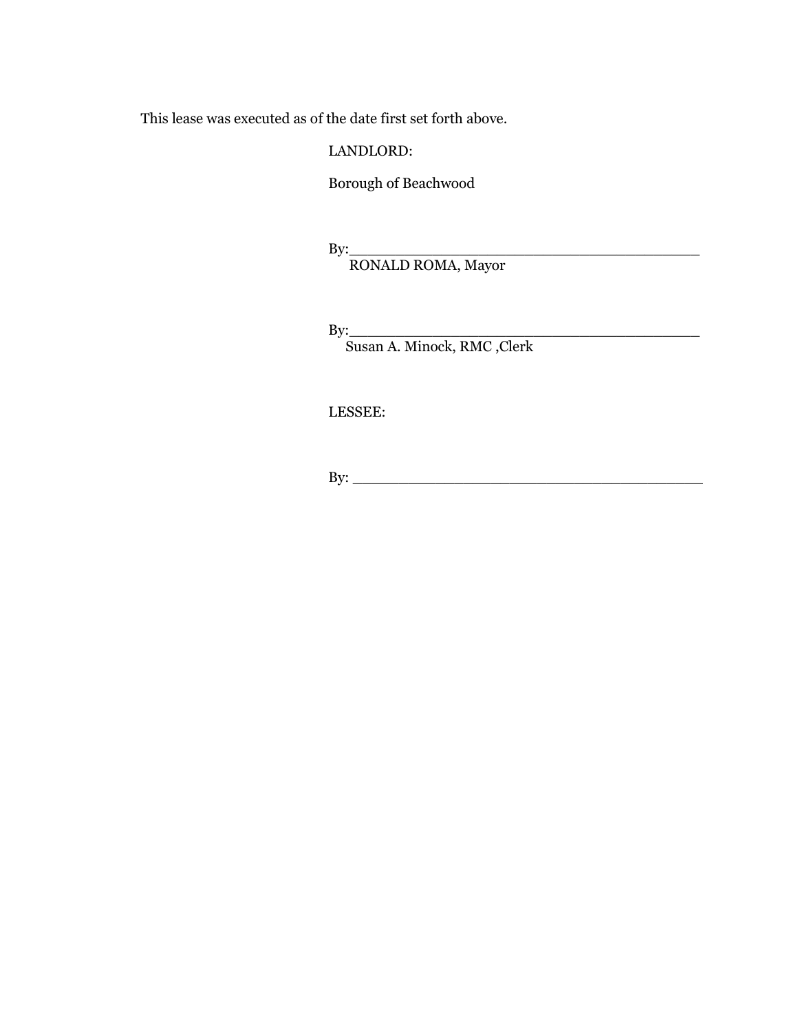This lease was executed as of the date first set forth above.

# LANDLORD:

Borough of Beachwood

By:\_\_\_\_\_\_\_\_\_\_\_\_\_\_\_\_\_\_\_\_\_\_\_\_\_\_\_\_\_\_\_\_\_\_\_\_\_\_

RONALD ROMA, Mayor

By:\_\_\_\_\_\_\_\_\_\_\_\_\_\_\_\_\_\_\_\_\_\_\_\_\_\_\_\_\_\_\_\_\_\_\_\_\_\_

Susan A. Minock, RMC ,Clerk

LESSEE:

By: \_\_\_\_\_\_\_\_\_\_\_\_\_\_\_\_\_\_\_\_\_\_\_\_\_\_\_\_\_\_\_\_\_\_\_\_\_\_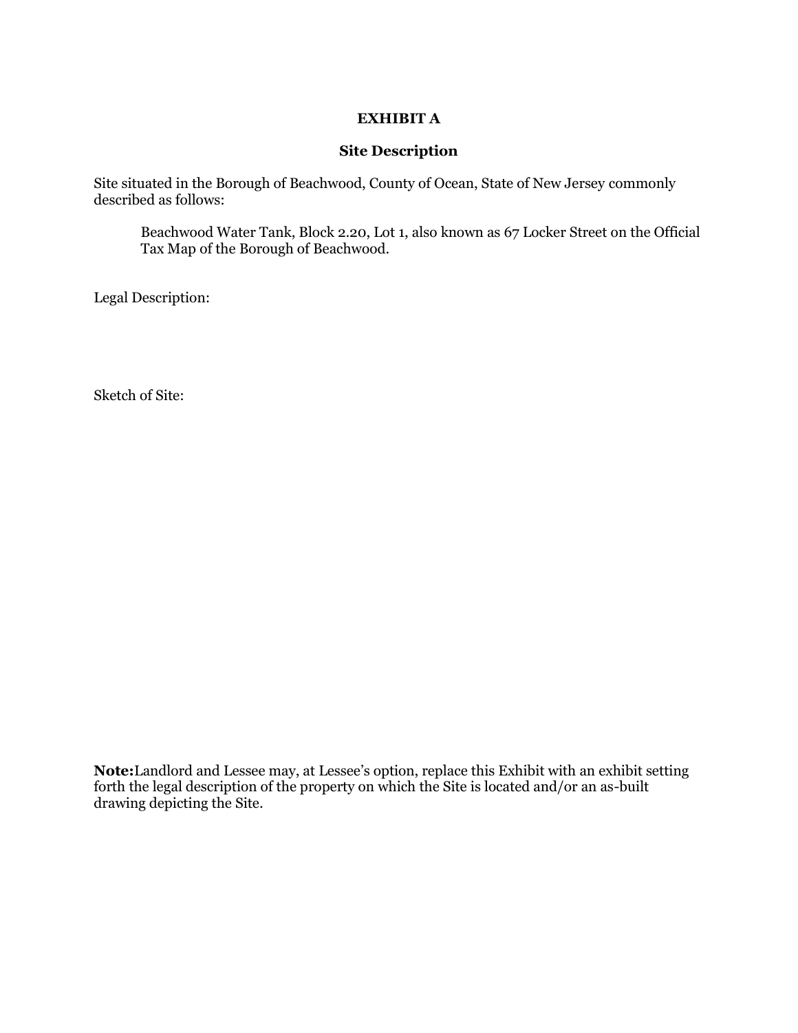# **EXHIBIT A**

## **Site Description**

Site situated in the Borough of Beachwood, County of Ocean, State of New Jersey commonly described as follows:

Beachwood Water Tank, Block 2.20, Lot 1, also known as 67 Locker Street on the Official Tax Map of the Borough of Beachwood.

Legal Description:

Sketch of Site:

**Note:**Landlord and Lessee may, at Lessee's option, replace this Exhibit with an exhibit setting forth the legal description of the property on which the Site is located and/or an as-built drawing depicting the Site.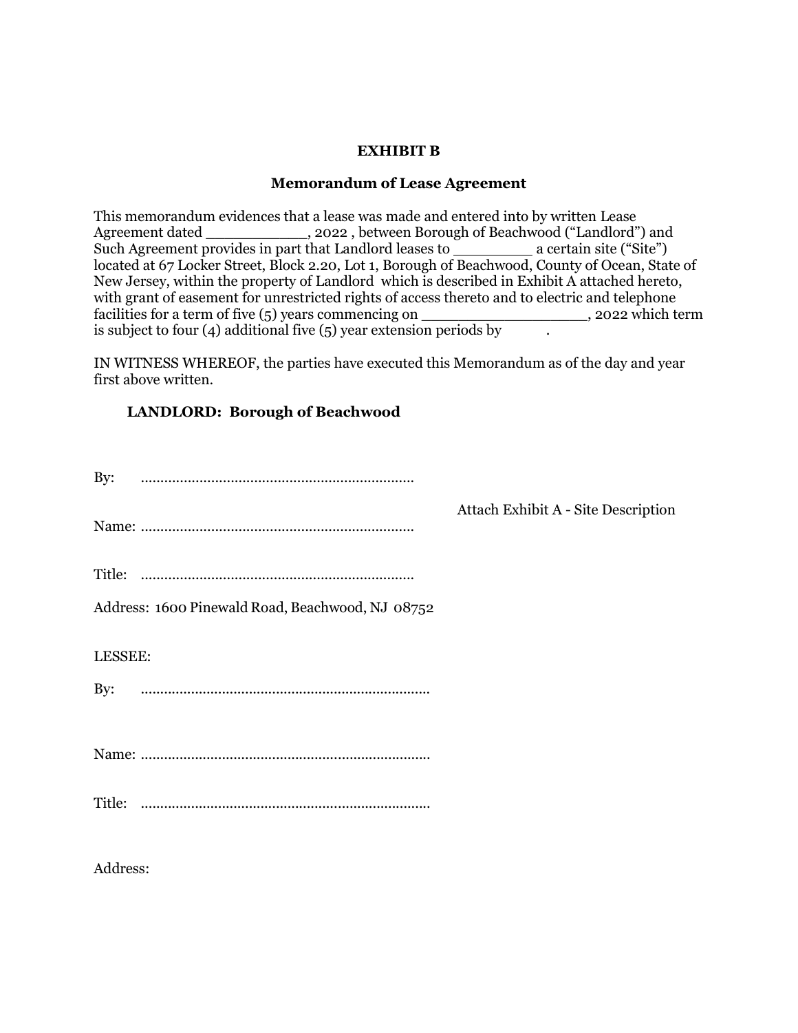# **EXHIBIT B**

## **Memorandum of Lease Agreement**

This memorandum evidences that a lease was made and entered into by written Lease Agreement dated \_\_\_\_\_\_\_\_\_\_\_\_\_\_, 2022, between Borough of Beachwood ("Landlord") and Such Agreement provides in part that Landlord leases to  $\frac{1}{\sqrt{2}}$  a certain site ("Site") located at 67 Locker Street, Block 2.20, Lot 1, Borough of Beachwood, County of Ocean, State of New Jersey, within the property of Landlord which is described in Exhibit A attached hereto, with grant of easement for unrestricted rights of access thereto and to electric and telephone facilities for a term of five (5) years commencing on \_\_\_\_\_\_\_\_\_\_\_\_\_\_\_\_\_\_\_, 2022 which term is subject to four (4) additional five (5) year extension periods by

IN WITNESS WHEREOF, the parties have executed this Memorandum as of the day and year first above written.

# **LANDLORD: Borough of Beachwood**

| By:                                              |                                     |
|--------------------------------------------------|-------------------------------------|
|                                                  | Attach Exhibit A - Site Description |
|                                                  |                                     |
| Address: 1600 Pinewald Road, Beachwood, NJ 08752 |                                     |
| LESSEE:                                          |                                     |
| By:                                              |                                     |
|                                                  |                                     |
| Title:                                           |                                     |
|                                                  |                                     |

Address: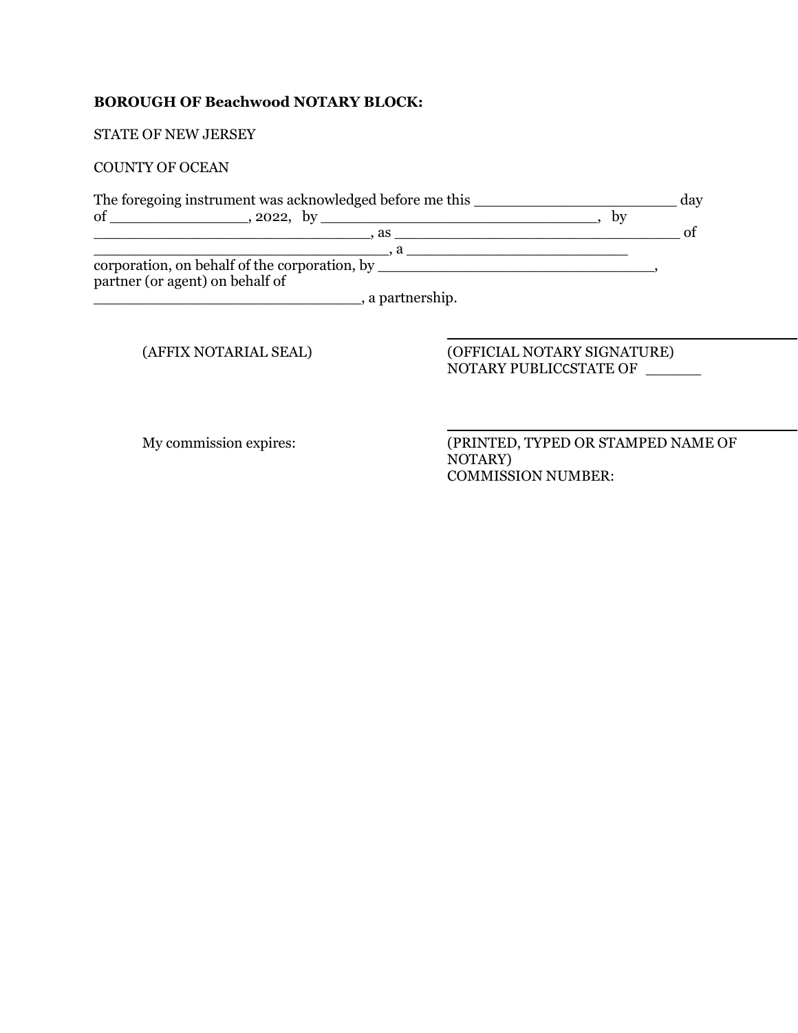# **BOROUGH OF Beachwood NOTARY BLOCK:**

STATE OF NEW JERSEY

## COUNTY OF OCEAN

|                                 | The foregoing instrument was acknowledged before me this |    | day |
|---------------------------------|----------------------------------------------------------|----|-----|
| of                              | $\frac{1}{2022}$ , by                                    | by |     |
|                                 | $\alpha$ as a set of $\alpha$ as a set of $\alpha$       |    |     |
|                                 |                                                          |    |     |
|                                 | corporation, on behalf of the corporation, by            |    |     |
| partner (or agent) on behalf of |                                                          |    |     |
|                                 | , a partnership.                                         |    |     |
|                                 |                                                          |    |     |
|                                 |                                                          |    |     |

(AFFIX NOTARIAL SEAL) (OFFICIAL NOTARY SIGNATURE) NOTARY PUBLICCSTATE OF \_\_\_\_\_\_

My commission expires: (PRINTED, TYPED OR STAMPED NAME OF NOTARY) COMMISSION NUMBER: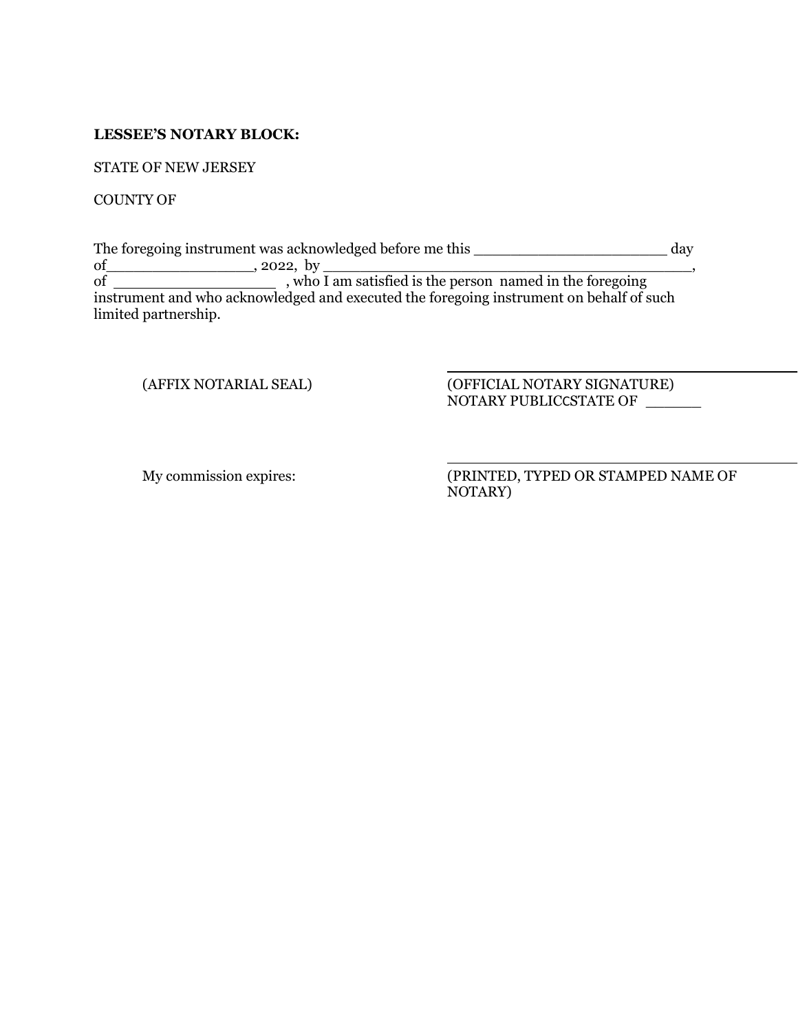## **LESSEE'S NOTARY BLOCK:**

STATE OF NEW JERSEY

COUNTY OF

The foregoing instrument was acknowledged before me this \_\_\_\_\_\_\_\_\_\_\_\_\_\_\_\_\_\_\_\_\_ day of\_\_\_\_\_\_\_\_\_\_\_\_\_\_\_\_, 2022, by \_\_\_\_\_\_\_\_\_\_\_\_\_\_\_\_\_\_\_\_\_\_\_\_\_\_\_\_\_\_\_\_\_\_\_\_\_\_\_\_, of , who I am satisfied is the person named in the foregoing instrument and who acknowledged and executed the foregoing instrument on behalf of such limited partnership.

(AFFIX NOTARIAL SEAL) (OFFICIAL NOTARY SIGNATURE) NOTARY PUBLICCSTATE OF \_\_\_\_\_\_

My commission expires: (PRINTED, TYPED OR STAMPED NAME OF NOTARY)